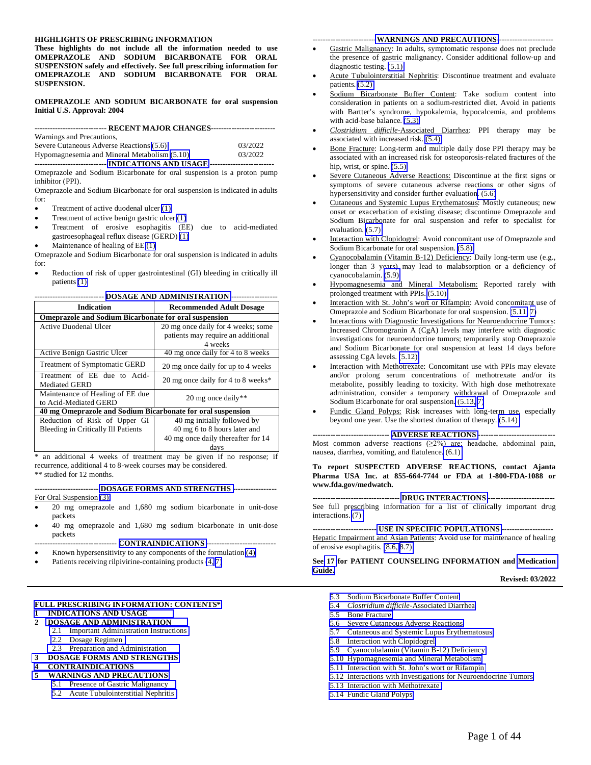#### **HIGHLIGHTS OF PRESCRIBING INFORMATION**

**These highlights do not include all the information needed to use OMEPRAZOLE AND SODIUM BICARBONATE FOR ORAL SUSPENSION safely and effectively. See full prescribing information for OMEPRAZOLE AND SODIUM BICARBONATE FOR ORAL SUSPENSION.** 

#### **OMEPRAZOLE AND SODIUM BICARBONATE for oral suspension Initial U.S. Approval: 2004**

**---------------------------- RECENT MAJOR CHANGES-------------------------**  Warnings and Precautions,

| $^{\prime\prime}$ and $\mu$ and $\mu$ is a contracted by $\mu$ . |         |
|------------------------------------------------------------------|---------|
| Severe Cutaneous Adverse Reactions (5.6)                         | 03/2022 |
| Hypomagnesemia and Mineral Metabolism (5.10)                     | 03/2022 |
|                                                                  |         |

**---------------------------- [INDICATIONS AND USAGE](#page-2-0) -------------------------** Omeprazole and Sodium Bicarbonate for oral suspension is a proton pump inhibitor (PPI).

Omeprazole and Sodium Bicarbonate for oral suspension is indicated in adults for:

- Treatment of active duodenal ulcer [\(1\)](#page-2-0)
- Treatment of active benign gastric ulcer [\(1\)](#page-2-0)
- Treatment of erosive esophagitis (EE) due to acid-mediated gastroesophageal reflux disease (GERD) [\(1\)](#page-2-0)
- Maintenance of healing of EE [\(1\)](#page-2-0)

Omeprazole and Sodium Bicarbonate for oral suspension is indicated in adults for:

 Reduction of risk of upper gastrointestinal (GI) bleeding in critically ill patients [\(1\)](#page-2-0) 

| <b>Indication</b>                                                                         | <b>Recommended Adult Dosage</b>    |  |  |  |
|-------------------------------------------------------------------------------------------|------------------------------------|--|--|--|
| <b>Omeprazole and Sodium Bicarbonate for oral suspension</b>                              |                                    |  |  |  |
| <b>Active Duodenal Ulcer</b>                                                              | 20 mg once daily for 4 weeks; some |  |  |  |
|                                                                                           | patients may require an additional |  |  |  |
|                                                                                           | 4 weeks                            |  |  |  |
| Active Benign Gastric Ulcer                                                               | 40 mg once daily for 4 to 8 weeks  |  |  |  |
| <b>Treatment of Symptomatic GERD</b>                                                      | 20 mg once daily for up to 4 weeks |  |  |  |
| Treatment of EE due to Acid-                                                              | 20 mg once daily for 4 to 8 weeks* |  |  |  |
| <b>Mediated GERD</b>                                                                      |                                    |  |  |  |
| Maintenance of Healing of EE due                                                          |                                    |  |  |  |
| to Acid-Mediated GERD                                                                     | 20 mg once daily**                 |  |  |  |
| 40 mg Omeprazole and Sodium Bicarbonate for oral suspension                               |                                    |  |  |  |
| Reduction of Risk of Upper GI                                                             | 40 mg initially followed by        |  |  |  |
| <b>Bleeding in Critically Ill Patients</b>                                                | 40 mg 6 to 8 hours later and       |  |  |  |
|                                                                                           | 40 mg once daily thereafter for 14 |  |  |  |
|                                                                                           | days                               |  |  |  |
| $\mathbf{A}$<br>$\mathbf{1}$ and $\mathbf{1}$ and $\mathbf{2}$ and $\mathbf{3}$<br>1.11.1 | $\cdot$ $\circ$                    |  |  |  |

**--------------------------- [DOSAGE AND ADMINISTRATION](#page-2-0) ------------------** 

\* an additional 4 weeks of treatment may be given if no response; if recurrence, additional 4 to 8-week courses may be considered. \*\* studied for 12 months.

**------------------------- [DOSAGE FORMS AND STRENGTHS -](#page-4-0)----------------** For Oral Suspension [\(3\):](#page-4-0)

- 
- 20 mg omeprazole and 1,680 mg sodium bicarbonate in unit-dose packets
- 40 mg omeprazole and 1,680 mg sodium bicarbonate in unit-dose packets
- **-------------------------------- [CONTRAINDICATIONS -](#page-5-0)--------------------------**
- Known hypersensitivity to any components of the formulation [\(4\)](#page-5-0)  Patients receiving rilpivirine-containing products [\(4,](#page-5-0) [7\)](#page-13-1)

#### **[FULL PRESCRIBING INFORMATION: CONTENTS\\*](#page-2-0)  [1 INDICATIONS AND USAGE](#page-2-0)**

# **2 [DOSAGE AND ADMINISTRATION](#page-2-0)**

- 2.1 [Important Administration Instructions](#page-2-1) 
	- 2.2 [Dosage Regimen](#page-3-0)
	- 2.3 [Preparation and Administration](#page-4-0)
- **[3 DOSAGE FORMS AND STRENGTHS](#page-4-0)**
- **[4 CONTRAINDICATIONS](#page-5-0)**
- **[5 WARNINGS AND PRECAUTIONS](#page-5-0)** 
	- 5.1 [Presence of Gastric Malignancy](#page-5-0)
	- 5.2 [Acute Tubulointerstitial Nephritis](#page-5-1)

#### **------------------------[-WARNINGS AND PRECAUTIONS-](#page-5-0)---------------------**

- Gastric Malignancy: In adults, symptomatic response does not preclude the presence of gastric malignancy. Consider additional follow-up and diagnostic testing. [\(5.1\)](#page-5-0)
- Acute Tubulointerstitial Nephritis: Discontinue treatment and evaluate patients.  $(5.2)$
- Sodium Bicarbonate Buffer Content: Take sodium content into consideration in patients on a sodium-restricted diet. Avoid in patients with Bartter's syndrome, hypokalemia, hypocalcemia, and problems with acid-base balance. [\(5.3\)](#page-5-0)
- *Clostridium difficile*-Associated Diarrhea: PPI therapy may be associated with increased risk. [\(5.4\)](#page-6-0)
- Bone Fracture: Long-term and multiple daily dose PPI therapy may be associated with an increased risk for osteoporosis-related fractures of the hip, wrist, or spine. [\(5.5\)](#page-6-0)
- Severe Cutaneous Adverse Reactions: Discontinue at the first signs or symptoms of severe cutaneous adverse reactions or other signs of hypersensitivity and consider further evaluation[. \(5.6\)](#page-6-2)
- Cutaneous and Systemic Lupus Erythematosus: Mostly cutaneous; new onset or exacerbation of existing disease; discontinue Omeprazole and Sodium Bicarbonate for oral suspension and refer to specialist for evaluation. [\(5.7\)](#page-6-3)
- Interaction with Clopidogrel: Avoid concomitant use of Omeprazole and Sodium Bicarbonate for oral suspension. [\(5.8\)](#page-7-1)
- Cyanocobalamin (Vitamin B-12) Deficiency: Daily long-term use (e.g., longer than 3 years) may lead to malabsorption or a deficiency of cyanocobalamin. [\(5.9\)](#page-7-1)
- Hypomagnesemia and Mineral Metabolism: Reported rarely with prolonged treatment with PPIs. [\(5.10\)](#page-7-1)
- Interaction with St. John's wort or Rifampin: Avoid concomitant use of Omeprazole and Sodium Bicarbonate for oral suspension. [\(5.11,](#page-8-3) [7\)](#page-13-0)
- Interactions with Diagnostic Investigations for Neuroendocrine Tumors: Increased Chromogranin A (CgA) levels may interfere with diagnostic investigations for neuroendocrine tumors; temporarily stop Omeprazole and Sodium Bicarbonate for oral suspension at least 14 days before assessing CgA levels. [\(5.12\)](#page-8-1)
- Interaction with Methotrexate: Concomitant use with PPIs may elevate and/or prolong serum concentrations of methotrexate and/or its metabolite, possibly leading to toxicity. With high dose methotrexate administration, consider a temporary withdrawal of Omeprazole and Sodium Bicarbonate for oral suspension[. \(5.13,](#page-8-1) [7\)](#page-13-0)
- Fundic Gland Polyps: Risk increases with long-term use, especially beyond one year. Use the shortest duration of therapy. [\(5.14\)](#page-8-1)

#### **------------------------------ [ADVERSE REACTIONS](#page-8-0) ------------------------------**

Most common adverse reactions  $(\geq 2\%)$  are: headache, abdominal pain, nausea, diarrhea, vomiting, and flatulence[. \(6.1\)](#page-9-0) 

#### **To report SUSPECTED ADVERSE REACTIONS, contact Ajanta Pharma USA Inc. at 855-664-7744 or FDA at 1-800-FDA-1088 or www.fda.gov/medwatch.**

**---------------------------------- [DRUG INTERACTIONS](#page-13-2) --------------------------** See full prescribing information for a list of clinically important drug interactions. [\(7\)](#page-13-1) 

**------------------------- [USE IN SPECIFIC POPULATIONS](#page-17-0) --------------------** Hepatic Impairment and Asian Patients: Avoid use for maintenance of healing of erosive esophagitis. [\(8.6, 8.7\)](#page-21-0) 

#### **See [17](#page-35-0) for PATIENT COUNSELING INFORMATION and [Medication](#page-37-0)  [Guide.](#page-37-0)**

**Revised: 03/2022** 

- 5.3 [Sodium Bicarbonate Buffer Content](#page-5-1)
- 5.4 *Clostridium difficile*[-Associated Diarrhea](#page-6-0)
- 5.5 [Bone Fracture](#page-6-0)
- 5.6 [Severe Cutaneous Adverse Reactions](#page-6-0)
- 5.7 [Cutaneous and Systemic Lupus Erythematosus](#page-6-0)
- 5.8 [Interaction with Clopidogrel](#page-7-0)
- 5.9 [Cyanocobalamin \(Vitamin B-12\) Deficiency](#page-7-0)
- 5.10 [Hypomagnesemia and Mineral Metabolism](#page-7-0)
- 5.11 [Interaction with St. John's wort or Rifampin](#page-8-2)
- 5.12 [Interactions with Investigations for Neuroendocrine Tumors](#page-8-2)
- 5.13 [Interaction with Methotrexate](#page-8-2)
- 5.14 [Fundic Gland Polyps](#page-8-2)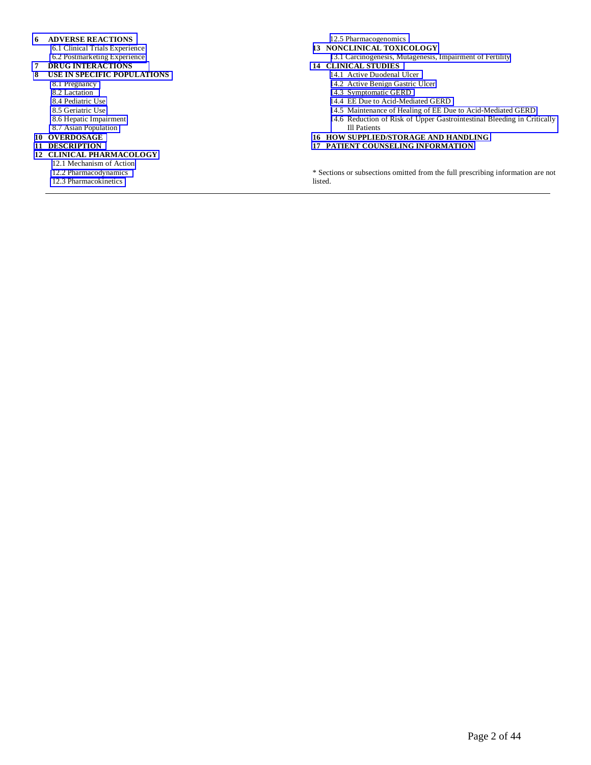#### **[6 ADVERSE REACTIONS](#page-8-4)**

- [6.1 Clinical Trials Experience](#page-9-0)
- [6.2 Postmarketing Experience](#page-11-0)
- **[7 DRUG INTERACTIONS](#page-13-1)**

#### **[8 USE IN SPECIFIC POPULATIONS](#page-17-1)**

- [8.1 Pregnancy](#page-17-1)
- [8.2 Lactation](#page-20-0)  [8.4 Pediatric Use](#page-20-0)
- [8.5 Geriatric Use](#page-21-0)
- [8.6 Hepatic Impairment](#page-21-0)
- [8.7 Asian Population](#page-21-0)
- **[10 OVERDOSAGE](#page-21-0)**
- **[11 DESCRIPTION](#page-22-0)**
- **[12 CLINICAL PHARMACOLOGY](#page-22-0)** 
	- [12.1 Mechanism of Action](#page-22-0)
	- [12.2 Pharmacodynamics](#page-23-0)
	- [12.3 Pharmacokinetics](#page-25-0)

[12.5 Pharmacogenomics](#page-29-0) 

- **[13 NONCLINICAL TOXICOLOGY](#page-29-0)** 
	- [13.1 Carcinogenesis, Mutagenesis, Impairment of Fertility](#page-29-0)

#### **[14 CLINICAL STUDIES](#page-30-0)**

- [14.1 Active Duodenal Ulcer](#page-30-0)
- [14.2 Active Benign Gastric Ulcer](#page-31-0)
- [14.3 Symptomatic GERD](#page-32-0)
- [14.4 EE Due to Acid-Mediated GERD](#page-32-0)
- [14.5 Maintenance of Healing of EE Due to Acid-Mediated GERD](#page-33-0)
- [14.6 Reduction of Risk of Upper Gastrointestinal Bleeding in Critically](#page-34-0)  Ill Patients
- **[16 HOW SUPPLIED/STORAGE AND HANDLING](#page-34-0)**
- **[17 PATIENT COUNSELING INFORMATION](#page-35-0)**

\* Sections or subsections omitted from the full prescribing information are not listed.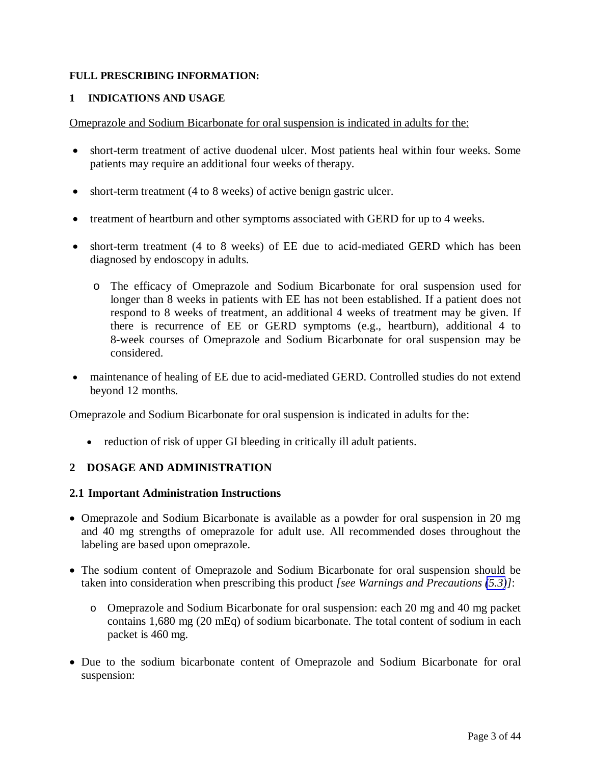#### <span id="page-2-0"></span>**FULL PRESCRIBING INFORMATION:**

#### **1 INDICATIONS AND USAGE**

Omeprazole and Sodium Bicarbonate for oral suspension is indicated in adults for the:

- short-term treatment of active duodenal ulcer. Most patients heal within four weeks. Some patients may require an additional four weeks of therapy.
- short-term treatment (4 to 8 weeks) of active benign gastric ulcer.
- treatment of heartburn and other symptoms associated with GERD for up to 4 weeks.
- short-term treatment (4 to 8 weeks) of EE due to acid-mediated GERD which has been diagnosed by endoscopy in adults.
	- o The efficacy of Omeprazole and Sodium Bicarbonate for oral suspension used for longer than 8 weeks in patients with EE has not been established. If a patient does not respond to 8 weeks of treatment, an additional 4 weeks of treatment may be given. If there is recurrence of EE or GERD symptoms (e.g., heartburn), additional 4 to 8-week courses of Omeprazole and Sodium Bicarbonate for oral suspension may be considered.
- <span id="page-2-1"></span> maintenance of healing of EE due to acid-mediated GERD. Controlled studies do not extend beyond 12 months.

#### Omeprazole and Sodium Bicarbonate for oral suspension is indicated in adults for the:

• reduction of risk of upper GI bleeding in critically ill adult patients.

# **2 DOSAGE AND ADMINISTRATION**

#### **2.1 Important Administration Instructions**

- Omeprazole and Sodium Bicarbonate is available as a powder for oral suspension in 20 mg and 40 mg strengths of omeprazole for adult use. All recommended doses throughout the labeling are based upon omeprazole.
- The sodium content of Omeprazole and Sodium Bicarbonate for oral suspension should be taken into consideration when prescribing this product *[see Warnings and Precautions [\(5.3\)](#page-5-0)]*:
	- o Omeprazole and Sodium Bicarbonate for oral suspension: each 20 mg and 40 mg packet contains 1,680 mg (20 mEq) of sodium bicarbonate. The total content of sodium in each packet is 460 mg.
- Due to the sodium bicarbonate content of Omeprazole and Sodium Bicarbonate for oral suspension: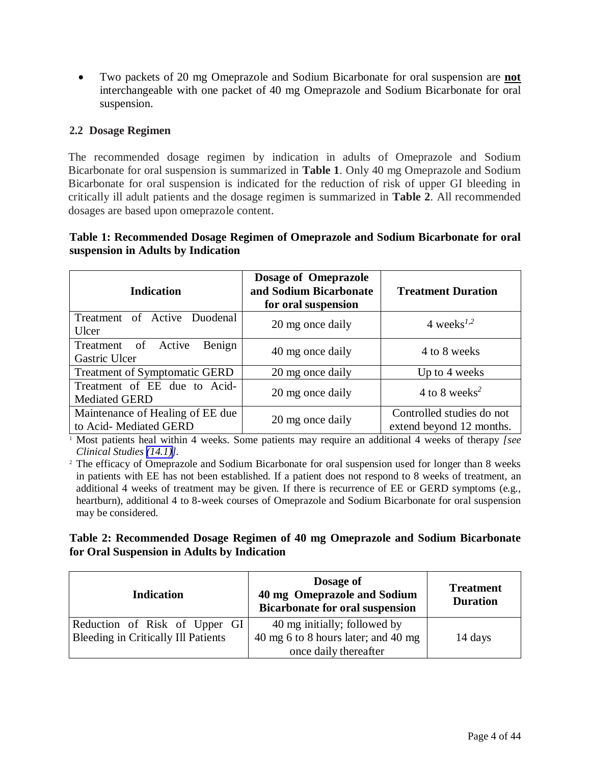<span id="page-3-1"></span><span id="page-3-0"></span> Two packets of 20 mg Omeprazole and Sodium Bicarbonate for oral suspension are **not**  interchangeable with one packet of 40 mg Omeprazole and Sodium Bicarbonate for oral suspension.

# **2.2 Dosage Regimen**

The recommended dosage regimen by indication in adults of Omeprazole and Sodium Bicarbonate for oral suspension is summarized in **Table 1**. Only 40 mg Omeprazole and Sodium Bicarbonate for oral suspension is indicated for the reduction of risk of upper GI bleeding in critically ill adult patients and the dosage regimen is summarized in **Table 2**. All recommended dosages are based upon omeprazole content.

# **Table 1: Recommended Dosage Regimen of Omeprazole and Sodium Bicarbonate for oral suspension in Adults by Indication**

| <b>Indication</b>                                         | Dosage of Omeprazole<br>and Sodium Bicarbonate<br>for oral suspension | <b>Treatment Duration</b>                             |
|-----------------------------------------------------------|-----------------------------------------------------------------------|-------------------------------------------------------|
| Treatment of Active Duodenal<br>Ulcer                     | 20 mg once daily                                                      | 4 weeks <sup><math>1,2</math></sup>                   |
| Benign<br>Treatment of Active<br>Gastric Ulcer            | 40 mg once daily                                                      | 4 to 8 weeks                                          |
| <b>Treatment of Symptomatic GERD</b>                      | 20 mg once daily                                                      | Up to 4 weeks                                         |
| Treatment of EE due to Acid-<br><b>Mediated GERD</b>      | 20 mg once daily                                                      | 4 to 8 weeks <sup>2</sup>                             |
| Maintenance of Healing of EE due<br>to Acid-Mediated GERD | 20 mg once daily                                                      | Controlled studies do not<br>extend beyond 12 months. |

<sup>1</sup> Most patients heal within 4 weeks. Some patients may require an additional 4 weeks of therapy *[see Clinical Studies [\(14.1\)\]](#page-30-0).*

<sup>2</sup> The efficacy of Omeprazole and Sodium Bicarbonate for oral suspension used for longer than 8 weeks in patients with EE has not been established. If a patient does not respond to 8 weeks of treatment, an additional 4 weeks of treatment may be given. If there is recurrence of EE or GERD symptoms (e.g., heartburn), additional 4 to 8-week courses of Omeprazole and Sodium Bicarbonate for oral suspension may be considered.

# **Table 2: Recommended Dosage Regimen of 40 mg Omeprazole and Sodium Bicarbonate for Oral Suspension in Adults by Indication**

| <b>Indication</b>                                                           | Dosage of<br>40 mg Omeprazole and Sodium<br><b>Bicarbonate for oral suspension</b>           | <b>Treatment</b><br><b>Duration</b> |
|-----------------------------------------------------------------------------|----------------------------------------------------------------------------------------------|-------------------------------------|
| Reduction of Risk of Upper GI<br><b>Bleeding in Critically Ill Patients</b> | 40 mg initially; followed by<br>40 mg 6 to 8 hours later; and 40 mg<br>once daily thereafter | 14 days                             |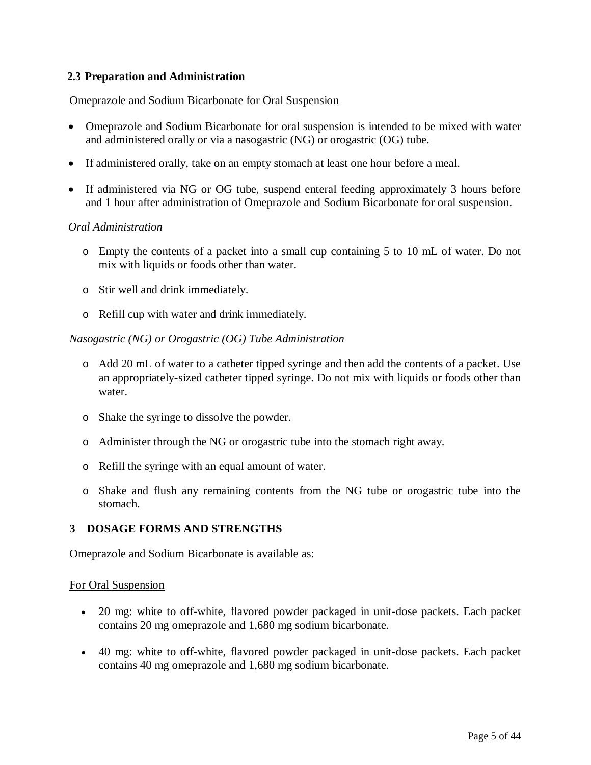# <span id="page-4-1"></span><span id="page-4-0"></span>**2.3 Preparation and Administration**

#### Omeprazole and Sodium Bicarbonate for Oral Suspension

- Omeprazole and Sodium Bicarbonate for oral suspension is intended to be mixed with water and administered orally or via a nasogastric (NG) or orogastric (OG) tube.
- If administered orally, take on an empty stomach at least one hour before a meal.
- If administered via NG or OG tube, suspend enteral feeding approximately 3 hours before and 1 hour after administration of Omeprazole and Sodium Bicarbonate for oral suspension.

#### *Oral Administration*

- o Empty the contents of a packet into a small cup containing 5 to 10 mL of water. Do not mix with liquids or foods other than water.
- o Stir well and drink immediately.
- o Refill cup with water and drink immediately.

#### *Nasogastric (NG) or Orogastric (OG) Tube Administration*

- o Add 20 mL of water to a catheter tipped syringe and then add the contents of a packet. Use an appropriately-sized catheter tipped syringe. Do not mix with liquids or foods other than water.
- o Shake the syringe to dissolve the powder.
- o Administer through the NG or orogastric tube into the stomach right away.
- o Refill the syringe with an equal amount of water.
- o Shake and flush any remaining contents from the NG tube or orogastric tube into the stomach.

## **3 DOSAGE FORMS AND STRENGTHS**

Omeprazole and Sodium Bicarbonate is available as:

#### For Oral Suspension

- 20 mg: white to off-white, flavored powder packaged in unit-dose packets. Each packet contains 20 mg omeprazole and 1,680 mg sodium bicarbonate.
- 40 mg: white to off-white, flavored powder packaged in unit-dose packets. Each packet contains 40 mg omeprazole and 1,680 mg sodium bicarbonate.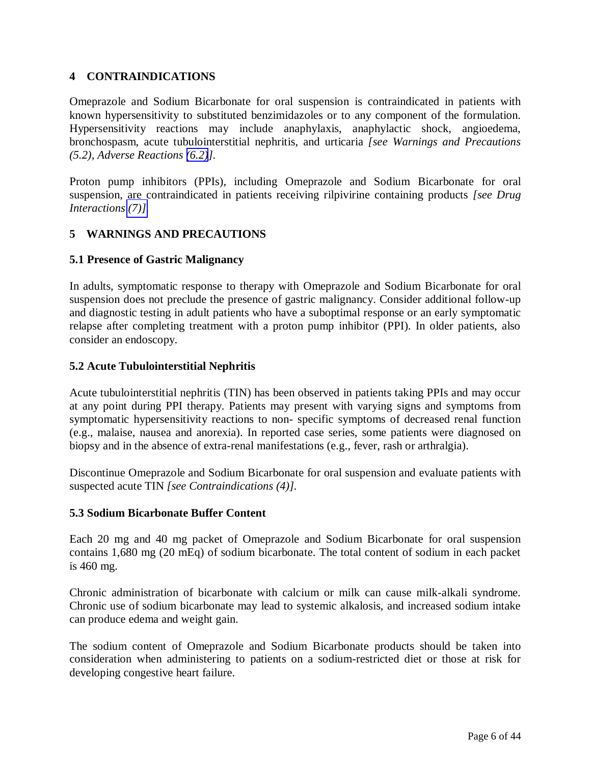# <span id="page-5-2"></span><span id="page-5-1"></span><span id="page-5-0"></span>**4 CONTRAINDICATIONS**

Omeprazole and Sodium Bicarbonate for oral suspension is contraindicated in patients with known hypersensitivity to substituted benzimidazoles or to any component of the formulation. Hypersensitivity reactions may include anaphylaxis, anaphylactic shock, angioedema, bronchospasm, acute tubulointerstitial nephritis, and urticaria *[see Warnings and Precautions (5.2), Adverse Reactions [\(6.2\)](#page-11-1)].*

Proton pump inhibitors (PPIs), including Omeprazole and Sodium Bicarbonate for oral suspension, are contraindicated in patients receiving rilpivirine containing products *[see Drug Interactions [\(7\)\].](#page-13-1)*

# **5 WARNINGS AND PRECAUTIONS**

# **5.1 Presence of Gastric Malignancy**

In adults, symptomatic response to therapy with Omeprazole and Sodium Bicarbonate for oral suspension does not preclude the presence of gastric malignancy. Consider additional follow-up and diagnostic testing in adult patients who have a suboptimal response or an early symptomatic relapse after completing treatment with a proton pump inhibitor (PPI). In older patients, also consider an endoscopy.

# **5.2 Acute Tubulointerstitial Nephritis**

Acute tubulointerstitial nephritis (TIN) has been observed in patients taking PPIs and may occur at any point during PPI therapy. Patients may present with varying signs and symptoms from symptomatic hypersensitivity reactions to non- specific symptoms of decreased renal function (e.g., malaise, nausea and anorexia). In reported case series, some patients were diagnosed on biopsy and in the absence of extra-renal manifestations (e.g., fever, rash or arthralgia).

Discontinue Omeprazole and Sodium Bicarbonate for oral suspension and evaluate patients with suspected acute TIN *[see Contraindications (4)].*

## **5.3 Sodium Bicarbonate Buffer Content**

Each 20 mg and 40 mg packet of Omeprazole and Sodium Bicarbonate for oral suspension contains 1,680 mg (20 mEq) of sodium bicarbonate. The total content of sodium in each packet is 460 mg.

Chronic administration of bicarbonate with calcium or milk can cause milk-alkali syndrome. Chronic use of sodium bicarbonate may lead to systemic alkalosis, and increased sodium intake can produce edema and weight gain.

The sodium content of Omeprazole and Sodium Bicarbonate products should be taken into consideration when administering to patients on a sodium-restricted diet or those at risk for developing congestive heart failure.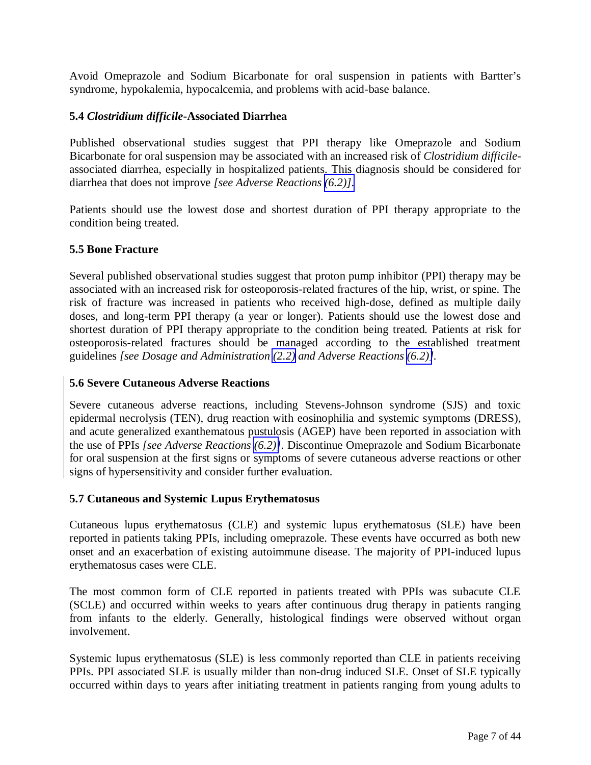<span id="page-6-5"></span><span id="page-6-4"></span><span id="page-6-3"></span><span id="page-6-0"></span>Avoid Omeprazole and Sodium Bicarbonate for oral suspension in patients with Bartter's syndrome, hypokalemia, hypocalcemia, and problems with acid-base balance.

# **5.4** *Clostridium difficile***-Associated Diarrhea**

<span id="page-6-2"></span><span id="page-6-1"></span>Published observational studies suggest that PPI therapy like Omeprazole and Sodium Bicarbonate for oral suspension may be associated with an increased risk of *Clostridium difficile*associated diarrhea, especially in hospitalized patients. This diagnosis should be considered for diarrhea that does not improve *[see Adverse Reactions [\(6.2\)\].](#page-11-2)*

Patients should use the lowest dose and shortest duration of PPI therapy appropriate to the condition being treated.

## **5.5 Bone Fracture**

Several published observational studies suggest that proton pump inhibitor (PPI) therapy may be associated with an increased risk for osteoporosis-related fractures of the hip, wrist, or spine. The risk of fracture was increased in patients who received high-dose, defined as multiple daily doses, and long-term PPI therapy (a year or longer). Patients should use the lowest dose and shortest duration of PPI therapy appropriate to the condition being treated. Patients at risk for osteoporosis-related fractures should be managed according to the established treatment guidelines *[see Dosage and Administration [\(2.2\)](#page-3-1) and Adverse Reactions [\(6.2\)\]](#page-11-3).* 

## **5.6 Severe Cutaneous Adverse Reactions**

Severe cutaneous adverse reactions, including Stevens-Johnson syndrome (SJS) and toxic epidermal necrolysis (TEN), drug reaction with eosinophilia and systemic symptoms (DRESS), and acute generalized exanthematous pustulosis (AGEP) have been reported in association with the use of PPIs *[see Adverse Reactions [\(6.2\)\]](#page-11-3)*. Discontinue Omeprazole and Sodium Bicarbonate for oral suspension at the first signs or symptoms of severe cutaneous adverse reactions or other signs of hypersensitivity and consider further evaluation.

## **5.7 Cutaneous and Systemic Lupus Erythematosus**

Cutaneous lupus erythematosus (CLE) and systemic lupus erythematosus (SLE) have been reported in patients taking PPIs, including omeprazole. These events have occurred as both new onset and an exacerbation of existing autoimmune disease. The majority of PPI-induced lupus erythematosus cases were CLE.

The most common form of CLE reported in patients treated with PPIs was subacute CLE (SCLE) and occurred within weeks to years after continuous drug therapy in patients ranging from infants to the elderly. Generally, histological findings were observed without organ involvement.

Systemic lupus erythematosus (SLE) is less commonly reported than CLE in patients receiving PPIs. PPI associated SLE is usually milder than non-drug induced SLE. Onset of SLE typically occurred within days to years after initiating treatment in patients ranging from young adults to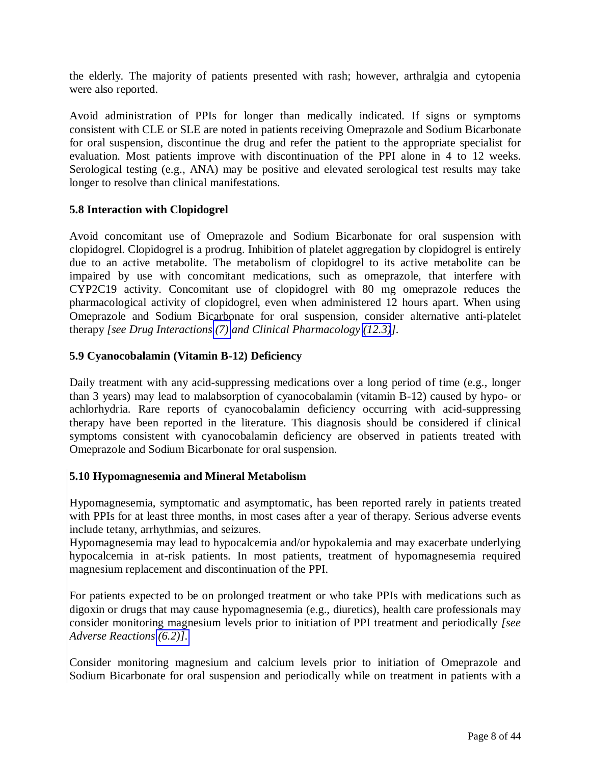<span id="page-7-0"></span>the elderly. The majority of patients presented with rash; however, arthralgia and cytopenia were also reported.

<span id="page-7-2"></span><span id="page-7-1"></span>Avoid administration of PPIs for longer than medically indicated. If signs or symptoms consistent with CLE or SLE are noted in patients receiving Omeprazole and Sodium Bicarbonate for oral suspension, discontinue the drug and refer the patient to the appropriate specialist for evaluation. Most patients improve with discontinuation of the PPI alone in 4 to 12 weeks. Serological testing (e.g., ANA) may be positive and elevated serological test results may take longer to resolve than clinical manifestations.

# **5.8 Interaction with Clopidogrel**

Avoid concomitant use of Omeprazole and Sodium Bicarbonate for oral suspension with clopidogrel. Clopidogrel is a prodrug. Inhibition of platelet aggregation by clopidogrel is entirely due to an active metabolite. The metabolism of clopidogrel to its active metabolite can be impaired by use with concomitant medications, such as omeprazole, that interfere with CYP2C19 activity. Concomitant use of clopidogrel with 80 mg omeprazole reduces the pharmacological activity of clopidogrel, even when administered 12 hours apart. When using Omeprazole and Sodium Bicarbonate for oral suspension, consider alternative anti-platelet therapy *[see Drug Interactions [\(7\)](#page-13-1) and Clinical Pharmacology [\(12.3\)](#page-25-0)].* 

## **5.9 Cyanocobalamin (Vitamin B-12) Deficiency**

Daily treatment with any acid-suppressing medications over a long period of time (e.g., longer than 3 years) may lead to malabsorption of cyanocobalamin (vitamin B-12) caused by hypo- or achlorhydria. Rare reports of cyanocobalamin deficiency occurring with acid-suppressing therapy have been reported in the literature. This diagnosis should be considered if clinical symptoms consistent with cyanocobalamin deficiency are observed in patients treated with Omeprazole and Sodium Bicarbonate for oral suspension.

# **5.10 Hypomagnesemia and Mineral Metabolism**

Hypomagnesemia, symptomatic and asymptomatic, has been reported rarely in patients treated with PPIs for at least three months, in most cases after a year of therapy. Serious adverse events include tetany, arrhythmias, and seizures.

Hypomagnesemia may lead to hypocalcemia and/or hypokalemia and may exacerbate underlying hypocalcemia in at-risk patients. In most patients, treatment of hypomagnesemia required magnesium replacement and discontinuation of the PPI.

For patients expected to be on prolonged treatment or who take PPIs with medications such as digoxin or drugs that may cause hypomagnesemia (e.g., diuretics), health care professionals may consider monitoring magnesium levels prior to initiation of PPI treatment and periodically *[see Adverse Reactions [\(6.2\)\].](#page-11-3)* 

Consider monitoring magnesium and calcium levels prior to initiation of Omeprazole and Sodium Bicarbonate for oral suspension and periodically while on treatment in patients with a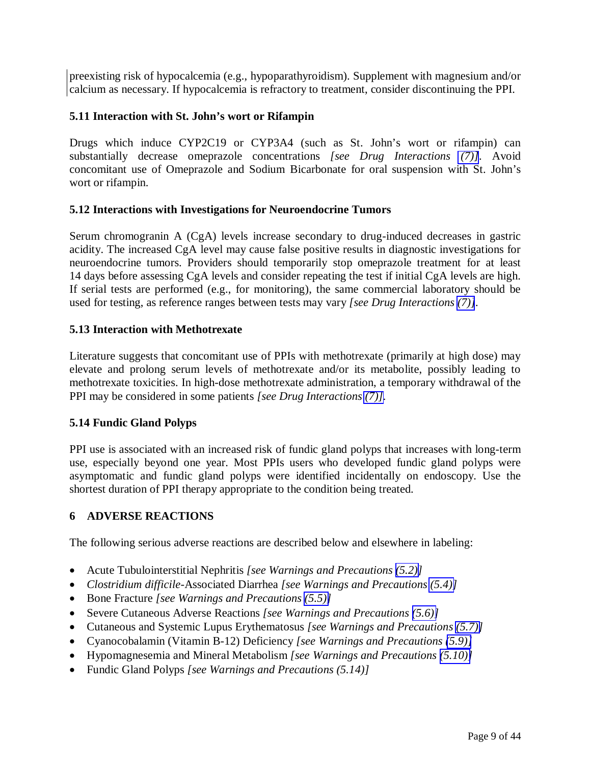<span id="page-8-5"></span><span id="page-8-3"></span><span id="page-8-2"></span><span id="page-8-1"></span><span id="page-8-0"></span>preexisting risk of hypocalcemia (e.g., hypoparathyroidism). Supplement with magnesium and/or calcium as necessary. If hypocalcemia is refractory to treatment, consider discontinuing the PPI.

# **5.11 Interaction with St. John's wort or Rifampin**

Drugs which induce CYP2C19 or CYP3A4 (such as St. John's wort or rifampin) can substantially decrease omeprazole concentrations *[see Drug Interactions [\(7\)\]](#page-13-1)*. Avoid concomitant use of Omeprazole and Sodium Bicarbonate for oral suspension with St. John's wort or rifampin.

# <span id="page-8-4"></span>**5.12 Interactions with Investigations for Neuroendocrine Tumors**

Serum chromogranin A (CgA) levels increase secondary to drug-induced decreases in gastric acidity. The increased CgA level may cause false positive results in diagnostic investigations for neuroendocrine tumors. Providers should temporarily stop omeprazole treatment for at least 14 days before assessing CgA levels and consider repeating the test if initial CgA levels are high. If serial tests are performed (e.g., for monitoring), the same commercial laboratory should be used for testing, as reference ranges between tests may vary *[see Drug Interactions [\(7\)\]](#page-13-1).* 

# **5.13 Interaction with Methotrexate**

Literature suggests that concomitant use of PPIs with methotrexate (primarily at high dose) may elevate and prolong serum levels of methotrexate and/or its metabolite, possibly leading to methotrexate toxicities. In high-dose methotrexate administration, a temporary withdrawal of the PPI may be considered in some patients *[see Drug Interactions [\(7\)\]](#page-13-1).*

# **5.14 Fundic Gland Polyps**

PPI use is associated with an increased risk of fundic gland polyps that increases with long-term use, especially beyond one year. Most PPIs users who developed fundic gland polyps were asymptomatic and fundic gland polyps were identified incidentally on endoscopy. Use the shortest duration of PPI therapy appropriate to the condition being treated.

# **6 ADVERSE REACTIONS**

The following serious adverse reactions are described below and elsewhere in labeling:

- Acute Tubulointerstitial Nephritis *[see Warnings and Precautions [\(5.2\)](#page-5-2)]*
- *Clostridium difficile*-Associated Diarrhea *[see Warnings and Precautions [\(5.4\)\]](#page-6-4)*
- Bone Fracture *[see Warnings and Precautions [\(5.5\)\]](#page-6-4)*
- Severe Cutaneous Adverse Reactions *[see Warnings and Precautions [\(5.6\)\]](#page-6-4)*
- Cutaneous and Systemic Lupus Erythematosus *[see Warnings and Precautions [\(5.7\)\]](#page-6-4)*
- Cyanocobalamin (Vitamin B-12) Deficiency *[see Warnings and Precautions [\(5.9\)\]](#page-7-2)*
- Hypomagnesemia and Mineral Metabolism *[see Warnings and Precautions [\(5.10\)\]](#page-7-2)*
- Fundic Gland Polyps *[see Warnings and Precautions (5.14)]*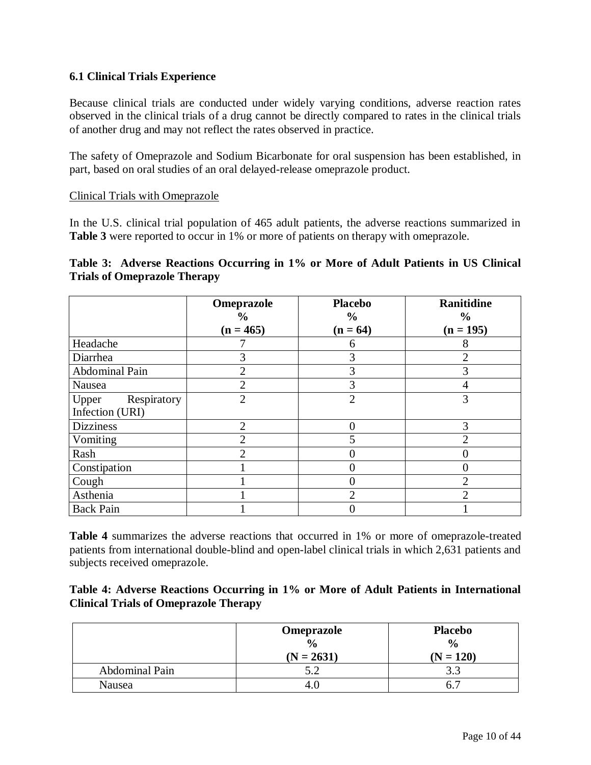# <span id="page-9-0"></span>**6.1 Clinical Trials Experience**

Because clinical trials are conducted under widely varying conditions, adverse reaction rates observed in the clinical trials of a drug cannot be directly compared to rates in the clinical trials of another drug and may not reflect the rates observed in practice.

The safety of Omeprazole and Sodium Bicarbonate for oral suspension has been established, in part, based on oral studies of an oral delayed-release omeprazole product.

#### Clinical Trials with Omeprazole

In the U.S. clinical trial population of 465 adult patients, the adverse reactions summarized in Table 3 were reported to occur in 1% or more of patients on therapy with omeprazole.

# **Table 3: Adverse Reactions Occurring in 1% or More of Adult Patients in US Clinical Trials of Omeprazole Therapy**

|                      | Omeprazole                   | <b>Placebo</b>              | Ranitidine                   |
|----------------------|------------------------------|-----------------------------|------------------------------|
|                      | $\frac{6}{9}$<br>$(n = 465)$ | $\frac{6}{9}$<br>$(n = 64)$ | $\frac{6}{9}$<br>$(n = 195)$ |
| Headache             |                              | 6                           | 8                            |
| Diarrhea             | 3                            | 3                           | $\overline{2}$               |
| Abdominal Pain       | $\overline{c}$               | 3                           | 3                            |
| Nausea               | $\overline{2}$               | 3                           |                              |
| Respiratory<br>Upper | $\overline{2}$               | $\overline{2}$              | 3                            |
| Infection (URI)      |                              |                             |                              |
| <b>Dizziness</b>     | $\overline{2}$               |                             | 3                            |
| Vomiting             | $\overline{c}$               |                             | $\overline{2}$               |
| Rash                 | $\mathcal{P}$                |                             |                              |
| Constipation         |                              |                             |                              |
| Cough                |                              |                             | $\overline{2}$               |
| Asthenia             |                              | $\mathcal{D}_{\mathcal{A}}$ | $\overline{2}$               |
| <b>Back Pain</b>     |                              |                             |                              |

**Table 4** summarizes the adverse reactions that occurred in 1% or more of omeprazole-treated patients from international double-blind and open-label clinical trials in which 2,631 patients and subjects received omeprazole.

| Table 4: Adverse Reactions Occurring in 1% or More of Adult Patients in International |  |  |  |  |
|---------------------------------------------------------------------------------------|--|--|--|--|
| <b>Clinical Trials of Omeprazole Therapy</b>                                          |  |  |  |  |

|                | Omeprazole    | <b>Placebo</b> |
|----------------|---------------|----------------|
|                | $\frac{0}{0}$ | $\frac{6}{6}$  |
|                | $(N = 2631)$  | $(N = 120)$    |
| Abdominal Pain |               |                |
| Nausea         |               |                |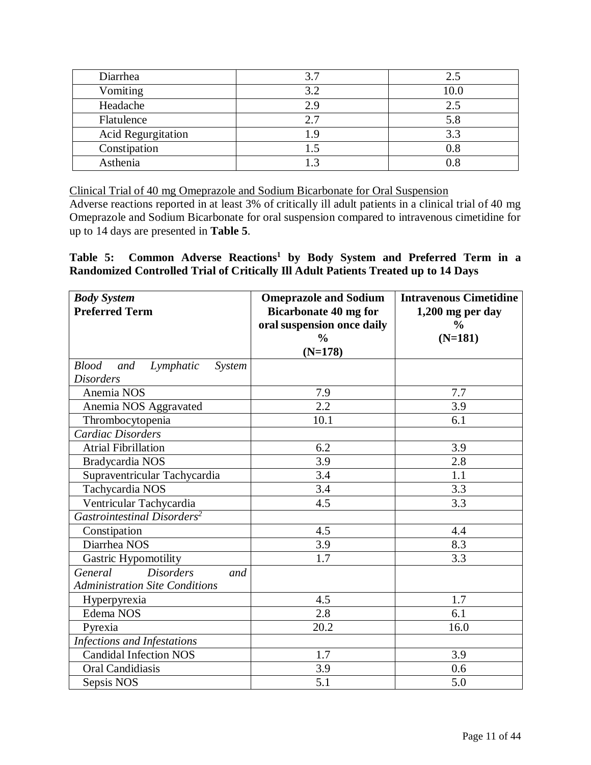| Diarrhea                  | 3.7  | 2.5      |
|---------------------------|------|----------|
| Vomiting                  | 3.2  | 10.0     |
| Headache                  | 2.9  | 2.5      |
| Flatulence                | 2.7  | 5.8      |
| <b>Acid Regurgitation</b> | l.9  | 3.3      |
| Constipation              | l .2 | $_{0.8}$ |
| Asthenia                  |      | 0. R     |

Clinical Trial of 40 mg Omeprazole and Sodium Bicarbonate for Oral Suspension

Adverse reactions reported in at least 3% of critically ill adult patients in a clinical trial of 40 mg Omeprazole and Sodium Bicarbonate for oral suspension compared to intravenous cimetidine for up to 14 days are presented in **Table 5**.

# **Table 5: Common Adverse Reactions<sup>1</sup> by Body System and Preferred Term in a Randomized Controlled Trial of Critically Ill Adult Patients Treated up to 14 Days**

| <b>Body System</b>                         | <b>Omeprazole and Sodium</b> | <b>Intravenous Cimetidine</b> |
|--------------------------------------------|------------------------------|-------------------------------|
| <b>Preferred Term</b>                      | <b>Bicarbonate 40 mg for</b> | $1,200$ mg per day            |
|                                            | oral suspension once daily   | $\frac{0}{0}$                 |
|                                            | $\frac{6}{6}$                | $(N=181)$                     |
|                                            | $(N=178)$                    |                               |
| <b>Blood</b><br>and<br>Lymphatic<br>System |                              |                               |
| <b>Disorders</b>                           |                              |                               |
| Anemia NOS                                 | 7.9                          | 7.7                           |
| Anemia NOS Aggravated                      | $\overline{2.2}$             | 3.9                           |
| Thrombocytopenia                           | 10.1                         | 6.1                           |
| <b>Cardiac Disorders</b>                   |                              |                               |
| <b>Atrial Fibrillation</b>                 | 6.2                          | 3.9                           |
| Bradycardia NOS                            | 3.9                          | 2.8                           |
| Supraventricular Tachycardia               | 3.4                          | 1.1                           |
| Tachycardia NOS                            | 3.4                          | 3.3                           |
| Ventricular Tachycardia                    | 4.5                          | 3.3                           |
| Gastrointestinal Disorders <sup>2</sup>    |                              |                               |
| Constipation                               | 4.5                          | 4.4                           |
| Diarrhea NOS                               | 3.9                          | 8.3                           |
| Gastric Hypomotility                       | 1.7                          | 3.3                           |
| <b>Disorders</b><br>General<br>and         |                              |                               |
| <b>Administration Site Conditions</b>      |                              |                               |
| Hyperpyrexia                               | 4.5                          | 1.7                           |
| Edema NOS                                  | 2.8                          | 6.1                           |
| Pyrexia                                    | 20.2                         | 16.0                          |
| Infections and Infestations                |                              |                               |
| <b>Candidal Infection NOS</b>              | 1.7                          | 3.9                           |
| Oral Candidiasis                           | 3.9                          | 0.6                           |
| Sepsis NOS                                 | 5.1                          | 5.0                           |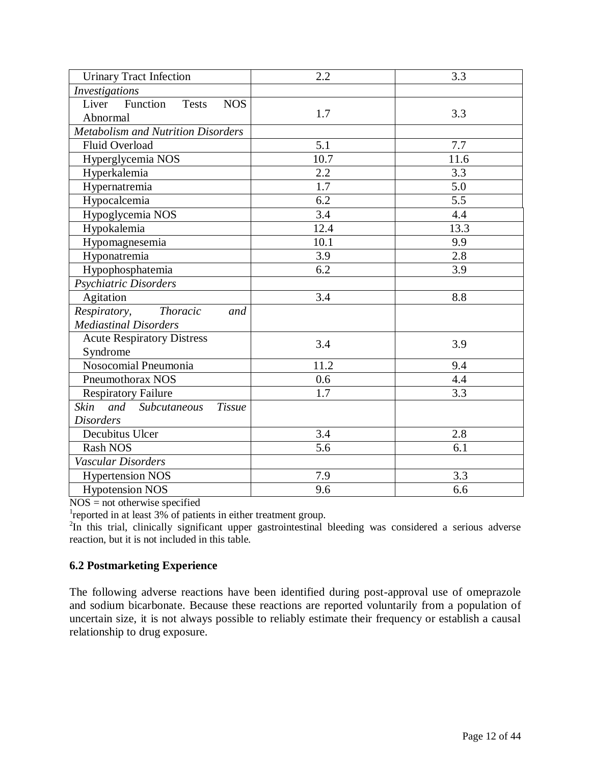<span id="page-11-3"></span><span id="page-11-2"></span><span id="page-11-1"></span><span id="page-11-0"></span>

| <b>Urinary Tract Infection</b>                  | 2.2              | 3.3  |
|-------------------------------------------------|------------------|------|
| <b>Investigations</b>                           |                  |      |
| Function<br>Liver<br><b>Tests</b><br><b>NOS</b> |                  |      |
| Abnormal                                        | 1.7              | 3.3  |
| <b>Metabolism and Nutrition Disorders</b>       |                  |      |
| <b>Fluid Overload</b>                           | 5.1              | 7.7  |
| Hyperglycemia NOS                               | 10.7             | 11.6 |
| Hyperkalemia                                    | 2.2              | 3.3  |
| Hypernatremia                                   | 1.7              | 5.0  |
| Hypocalcemia                                    | $\overline{6.2}$ | 5.5  |
| Hypoglycemia NOS                                | 3.4              | 4.4  |
| Hypokalemia                                     | 12.4             | 13.3 |
| Hypomagnesemia                                  | 10.1             | 9.9  |
| Hyponatremia                                    | 3.9              | 2.8  |
| Hypophosphatemia                                | 6.2              | 3.9  |
| Psychiatric Disorders                           |                  |      |
| Agitation                                       | $\overline{3.4}$ | 8.8  |
| Respiratory,<br><b>Thoracic</b><br>and          |                  |      |
| <b>Mediastinal Disorders</b>                    |                  |      |
| <b>Acute Respiratory Distress</b>               | 3.4              | 3.9  |
| Syndrome                                        |                  |      |
| Nosocomial Pneumonia                            | 11.2             | 9.4  |
| Pneumothorax NOS                                | 0.6              | 4.4  |
| <b>Respiratory Failure</b>                      | 1.7              | 3.3  |
| and Subcutaneous<br><b>Skin</b><br>Tissue       |                  |      |
| <b>Disorders</b>                                |                  |      |
| Decubitus Ulcer                                 | 3.4              | 2.8  |
| <b>Rash NOS</b>                                 | 5.6              | 6.1  |
| Vascular Disorders                              |                  |      |
| <b>Hypertension NOS</b>                         | 7.9              | 3.3  |
| <b>Hypotension NOS</b>                          | 9.6              | 6.6  |

NOS = not otherwise specified

<sup>1</sup>reported in at least 3% of patients in either treatment group.

<sup>2</sup>In this trial, clinically significant upper gastrointestinal bleeding was considered a serious adverse reaction, but it is not included in this table.

# **6.2 Postmarketing Experience**

The following adverse reactions have been identified during post-approval use of omeprazole and sodium bicarbonate. Because these reactions are reported voluntarily from a population of uncertain size, it is not always possible to reliably estimate their frequency or establish a causal relationship to drug exposure.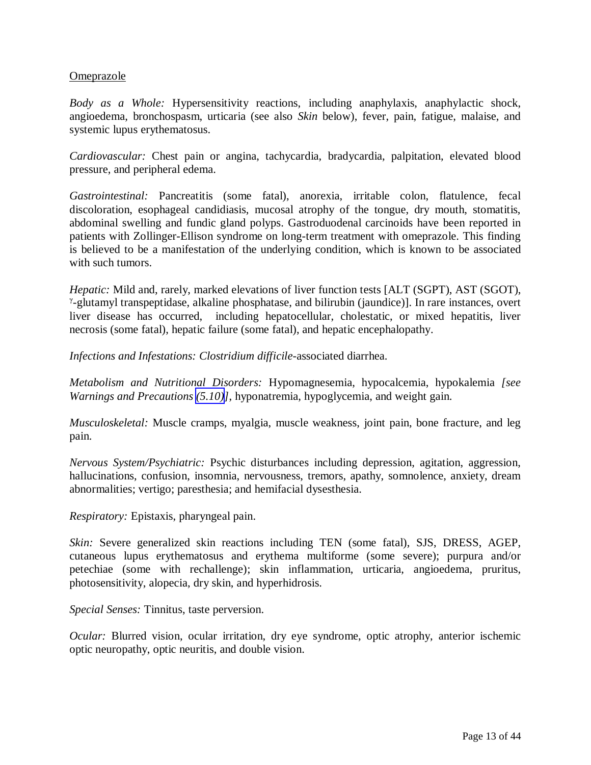## Omeprazole

*Body as a Whole:* Hypersensitivity reactions, including anaphylaxis, anaphylactic shock, angioedema, bronchospasm, urticaria (see also *Skin* below), fever, pain, fatigue, malaise, and systemic lupus erythematosus.

*Cardiovascular:* Chest pain or angina, tachycardia, bradycardia, palpitation, elevated blood pressure, and peripheral edema.

*Gastrointestinal:* Pancreatitis (some fatal), anorexia, irritable colon, flatulence, fecal discoloration, esophageal candidiasis, mucosal atrophy of the tongue, dry mouth, stomatitis, abdominal swelling and fundic gland polyps. Gastroduodenal carcinoids have been reported in patients with Zollinger-Ellison syndrome on long-term treatment with omeprazole. This finding is believed to be a manifestation of the underlying condition, which is known to be associated with such tumors.

*Hepatic: Mild and, rarely, marked elevations of liver function tests [ALT (SGPT), AST (SGOT),* γ -glutamyl transpeptidase, alkaline phosphatase, and bilirubin (jaundice)]. In rare instances, overt liver disease has occurred, including hepatocellular, cholestatic, or mixed hepatitis, liver necrosis (some fatal), hepatic failure (some fatal), and hepatic encephalopathy.

*Infections and Infestations: Clostridium difficile*-associated diarrhea.

*Metabolism and Nutritional Disorders:* Hypomagnesemia, hypocalcemia, hypokalemia *[see Warnings and Precautions [\(5.10\)](#page-7-2)]*, hyponatremia, hypoglycemia, and weight gain.

*Musculoskeletal:* Muscle cramps, myalgia, muscle weakness, joint pain, bone fracture, and leg pain.

*Nervous System/Psychiatric:* Psychic disturbances including depression, agitation, aggression, hallucinations, confusion, insomnia, nervousness, tremors, apathy, somnolence, anxiety, dream abnormalities; vertigo; paresthesia; and hemifacial dysesthesia.

*Respiratory:* Epistaxis, pharyngeal pain.

*Skin:* Severe generalized skin reactions including TEN (some fatal), SJS, DRESS, AGEP, cutaneous lupus erythematosus and erythema multiforme (some severe); purpura and/or petechiae (some with rechallenge); skin inflammation, urticaria, angioedema, pruritus, photosensitivity, alopecia, dry skin, and hyperhidrosis.

*Special Senses:* Tinnitus, taste perversion.

*Ocular:* Blurred vision, ocular irritation, dry eye syndrome, optic atrophy, anterior ischemic optic neuropathy, optic neuritis, and double vision.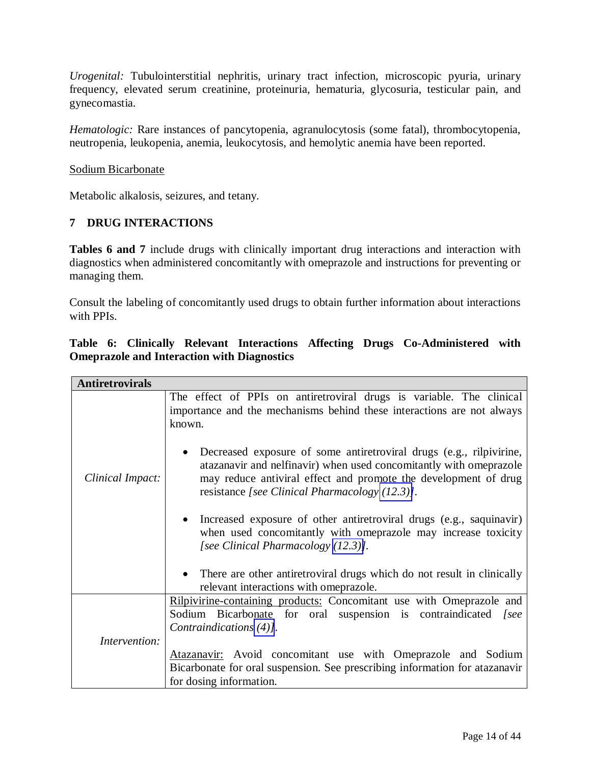*Urogenital:* Tubulointerstitial nephritis, urinary tract infection, microscopic pyuria, urinary frequency, elevated serum creatinine, proteinuria, hematuria, glycosuria, testicular pain, and gynecomastia.

<span id="page-13-2"></span><span id="page-13-1"></span><span id="page-13-0"></span>*Hematologic:* Rare instances of pancytopenia, agranulocytosis (some fatal), thrombocytopenia, neutropenia, leukopenia, anemia, leukocytosis, and hemolytic anemia have been reported.

## Sodium Bicarbonate

Metabolic alkalosis, seizures, and tetany.

# **7 DRUG INTERACTIONS**

**Tables 6 and 7** include drugs with clinically important drug interactions and interaction with diagnostics when administered concomitantly with omeprazole and instructions for preventing or managing them.

Consult the labeling of concomitantly used drugs to obtain further information about interactions with PPIs.

# **Table 6: Clinically Relevant Interactions Affecting Drugs Co-Administered with Omeprazole and Interaction with Diagnostics**

| <b>Antiretrovirals</b> |                                                                                                                                                                                                                                                                |
|------------------------|----------------------------------------------------------------------------------------------------------------------------------------------------------------------------------------------------------------------------------------------------------------|
|                        | The effect of PPIs on antiretroviral drugs is variable. The clinical<br>importance and the mechanisms behind these interactions are not always<br>known.                                                                                                       |
| Clinical Impact:       | Decreased exposure of some antiretroviral drugs (e.g., rilpivirine,<br>atazanavir and nelfinavir) when used concomitantly with omeprazole<br>may reduce antiviral effect and promote the development of drug<br>resistance [see Clinical Pharmacology (12.3)]. |
|                        | Increased exposure of other antiretroviral drugs (e.g., saquinavir)<br>$\bullet$<br>when used concomitantly with omeprazole may increase toxicity<br>[see Clinical Pharmacology (12.3)].                                                                       |
|                        | • There are other antiretroviral drugs which do not result in clinically<br>relevant interactions with omeprazole.                                                                                                                                             |
|                        | Rilpivirine-containing products: Concomitant use with Omeprazole and                                                                                                                                                                                           |
|                        | Sodium Bicarbonate for oral suspension is contraindicated [see<br>Contraindications (4)].                                                                                                                                                                      |
| Intervention:          |                                                                                                                                                                                                                                                                |
|                        | Atazanavir: Avoid concomitant use with Omeprazole and Sodium                                                                                                                                                                                                   |
|                        | Bicarbonate for oral suspension. See prescribing information for atazanavir<br>for dosing information.                                                                                                                                                         |
|                        |                                                                                                                                                                                                                                                                |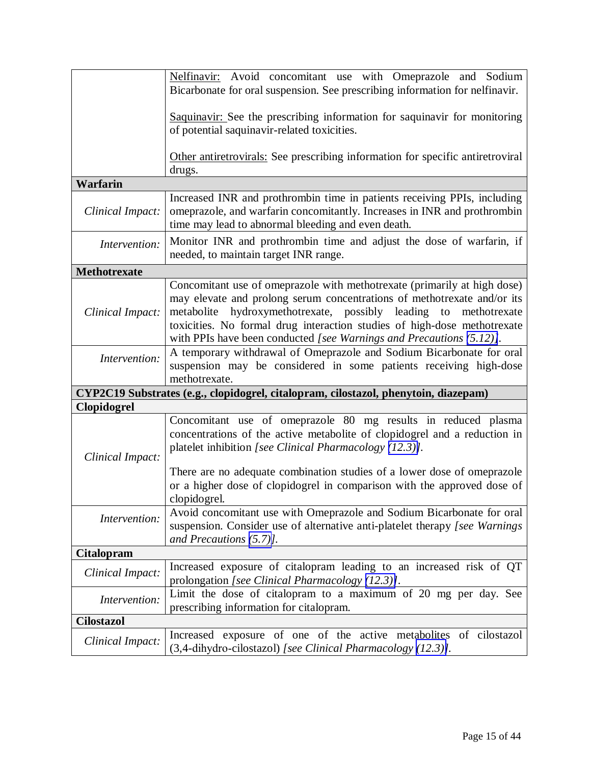|                     | Nelfinavir: Avoid concomitant use with Omeprazole and Sodium                                                                                                                                               |
|---------------------|------------------------------------------------------------------------------------------------------------------------------------------------------------------------------------------------------------|
|                     | Bicarbonate for oral suspension. See prescribing information for nelfinavir.                                                                                                                               |
|                     | Saquinavir: See the prescribing information for saquinavir for monitoring                                                                                                                                  |
|                     | of potential saquinavir-related toxicities.                                                                                                                                                                |
|                     |                                                                                                                                                                                                            |
|                     | Other antiretrovirals: See prescribing information for specific antiretroviral<br>drugs.                                                                                                                   |
| <b>Warfarin</b>     |                                                                                                                                                                                                            |
| Clinical Impact:    | Increased INR and prothrombin time in patients receiving PPIs, including<br>omeprazole, and warfarin concomitantly. Increases in INR and prothrombin<br>time may lead to abnormal bleeding and even death. |
| Intervention:       | Monitor INR and prothrombin time and adjust the dose of warfarin, if<br>needed, to maintain target INR range.                                                                                              |
| <b>Methotrexate</b> |                                                                                                                                                                                                            |
|                     | Concomitant use of omeprazole with methotrexate (primarily at high dose)                                                                                                                                   |
|                     | may elevate and prolong serum concentrations of methotrexate and/or its                                                                                                                                    |
| Clinical Impact:    | metabolite hydroxymethotrexate, possibly leading to<br>methotrexate<br>toxicities. No formal drug interaction studies of high-dose methotrexate                                                            |
|                     | with PPIs have been conducted [see Warnings and Precautions (5.12)].                                                                                                                                       |
| Intervention:       | A temporary withdrawal of Omeprazole and Sodium Bicarbonate for oral                                                                                                                                       |
|                     | suspension may be considered in some patients receiving high-dose                                                                                                                                          |
|                     | methotrexate.                                                                                                                                                                                              |
|                     | CYP2C19 Substrates (e.g., clopidogrel, citalopram, cilostazol, phenytoin, diazepam)                                                                                                                        |
| <b>Clopidogrel</b>  |                                                                                                                                                                                                            |
|                     | Concomitant use of omeprazole 80 mg results in reduced plasma<br>concentrations of the active metabolite of clopidogrel and a reduction in                                                                 |
|                     | platelet inhibition [see Clinical Pharmacology (12.3)].                                                                                                                                                    |
| Clinical Impact:    |                                                                                                                                                                                                            |
|                     | There are no adequate combination studies of a lower dose of omeprazole                                                                                                                                    |
|                     | or a higher dose of clopidogrel in comparison with the approved dose of                                                                                                                                    |
|                     | clopidogrel.                                                                                                                                                                                               |
| Intervention:       | Avoid concomitant use with Omeprazole and Sodium Bicarbonate for oral<br>suspension. Consider use of alternative anti-platelet therapy [see Warnings]                                                      |
|                     | and Precautions $(5.7)$ ].                                                                                                                                                                                 |
| <b>Citalopram</b>   |                                                                                                                                                                                                            |
|                     | Increased exposure of citalopram leading to an increased risk of QT                                                                                                                                        |
| Clinical Impact:    | prolongation [see Clinical Pharmacology (12.3)].                                                                                                                                                           |
| Intervention:       | Limit the dose of citalopram to a maximum of 20 mg per day. See                                                                                                                                            |
|                     | prescribing information for citalopram.                                                                                                                                                                    |
| <b>Cilostazol</b>   |                                                                                                                                                                                                            |
| Clinical Impact:    | Increased exposure of one of the active metabolites of cilostazol                                                                                                                                          |
|                     | (3,4-dihydro-cilostazol) [see Clinical Pharmacology (12.3)].                                                                                                                                               |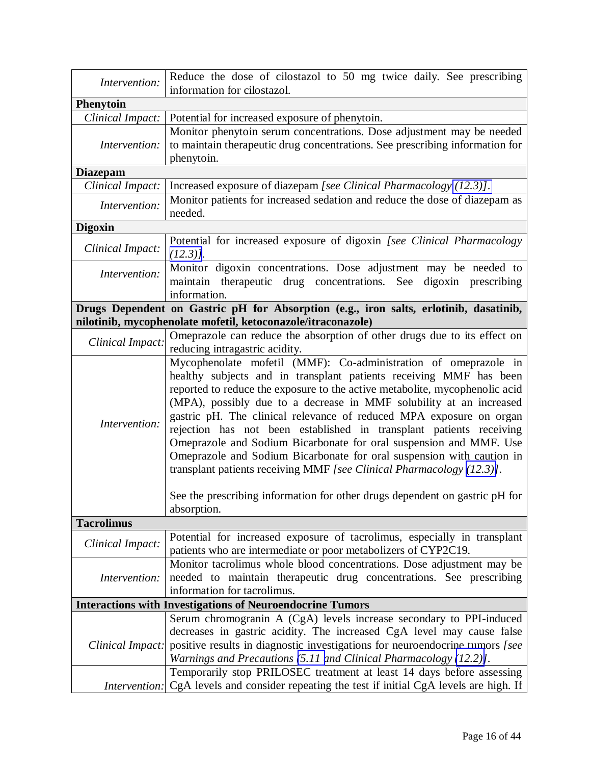| Intervention:                                                                                                                                                                                                                                                                                                                                                                                                                                                                                                                                                                                                                                                                      | Reduce the dose of cilostazol to 50 mg twice daily. See prescribing<br>information for cilostazol.                                                                                                                                                                                                                 |  |  |
|------------------------------------------------------------------------------------------------------------------------------------------------------------------------------------------------------------------------------------------------------------------------------------------------------------------------------------------------------------------------------------------------------------------------------------------------------------------------------------------------------------------------------------------------------------------------------------------------------------------------------------------------------------------------------------|--------------------------------------------------------------------------------------------------------------------------------------------------------------------------------------------------------------------------------------------------------------------------------------------------------------------|--|--|
| <b>Phenytoin</b>                                                                                                                                                                                                                                                                                                                                                                                                                                                                                                                                                                                                                                                                   |                                                                                                                                                                                                                                                                                                                    |  |  |
| Clinical Impact:                                                                                                                                                                                                                                                                                                                                                                                                                                                                                                                                                                                                                                                                   | Potential for increased exposure of phenytoin.                                                                                                                                                                                                                                                                     |  |  |
| Intervention:                                                                                                                                                                                                                                                                                                                                                                                                                                                                                                                                                                                                                                                                      | Monitor phenytoin serum concentrations. Dose adjustment may be needed<br>to maintain therapeutic drug concentrations. See prescribing information for<br>phenytoin.                                                                                                                                                |  |  |
| <b>Diazepam</b>                                                                                                                                                                                                                                                                                                                                                                                                                                                                                                                                                                                                                                                                    |                                                                                                                                                                                                                                                                                                                    |  |  |
| Clinical Impact:                                                                                                                                                                                                                                                                                                                                                                                                                                                                                                                                                                                                                                                                   | Increased exposure of diazepam [see Clinical Pharmacology (12.3)].                                                                                                                                                                                                                                                 |  |  |
| Intervention:                                                                                                                                                                                                                                                                                                                                                                                                                                                                                                                                                                                                                                                                      | Monitor patients for increased sedation and reduce the dose of diazepam as<br>needed.                                                                                                                                                                                                                              |  |  |
| <b>Digoxin</b>                                                                                                                                                                                                                                                                                                                                                                                                                                                                                                                                                                                                                                                                     |                                                                                                                                                                                                                                                                                                                    |  |  |
| Clinical Impact:                                                                                                                                                                                                                                                                                                                                                                                                                                                                                                                                                                                                                                                                   | Potential for increased exposure of digoxin [see Clinical Pharmacology<br>$(12.3)$ ].                                                                                                                                                                                                                              |  |  |
| Intervention:                                                                                                                                                                                                                                                                                                                                                                                                                                                                                                                                                                                                                                                                      | Monitor digoxin concentrations. Dose adjustment may be needed to<br>maintain therapeutic drug concentrations. See<br>digoxin prescribing<br>information.                                                                                                                                                           |  |  |
|                                                                                                                                                                                                                                                                                                                                                                                                                                                                                                                                                                                                                                                                                    | Drugs Dependent on Gastric pH for Absorption (e.g., iron salts, erlotinib, dasatinib,                                                                                                                                                                                                                              |  |  |
|                                                                                                                                                                                                                                                                                                                                                                                                                                                                                                                                                                                                                                                                                    | nilotinib, mycophenolate mofetil, ketoconazole/itraconazole)                                                                                                                                                                                                                                                       |  |  |
| Clinical Impact:                                                                                                                                                                                                                                                                                                                                                                                                                                                                                                                                                                                                                                                                   | Omeprazole can reduce the absorption of other drugs due to its effect on<br>reducing intragastric acidity.                                                                                                                                                                                                         |  |  |
| Mycophenolate mofetil (MMF): Co-administration of omeprazole in<br>healthy subjects and in transplant patients receiving MMF has been<br>reported to reduce the exposure to the active metabolite, mycophenolic acid<br>(MPA), possibly due to a decrease in MMF solubility at an increased<br>gastric pH. The clinical relevance of reduced MPA exposure on organ<br>Intervention:<br>rejection has not been established in transplant patients receiving<br>Omeprazole and Sodium Bicarbonate for oral suspension and MMF. Use<br>Omeprazole and Sodium Bicarbonate for oral suspension with caution in<br>transplant patients receiving MMF [see Clinical Pharmacology (12.3)]. |                                                                                                                                                                                                                                                                                                                    |  |  |
|                                                                                                                                                                                                                                                                                                                                                                                                                                                                                                                                                                                                                                                                                    | See the prescribing information for other drugs dependent on gastric pH for<br>absorption.                                                                                                                                                                                                                         |  |  |
| <b>Tacrolimus</b>                                                                                                                                                                                                                                                                                                                                                                                                                                                                                                                                                                                                                                                                  |                                                                                                                                                                                                                                                                                                                    |  |  |
| Clinical Impact:                                                                                                                                                                                                                                                                                                                                                                                                                                                                                                                                                                                                                                                                   | Potential for increased exposure of tacrolimus, especially in transplant<br>patients who are intermediate or poor metabolizers of CYP2C19.                                                                                                                                                                         |  |  |
| Intervention:                                                                                                                                                                                                                                                                                                                                                                                                                                                                                                                                                                                                                                                                      | Monitor tacrolimus whole blood concentrations. Dose adjustment may be<br>needed to maintain therapeutic drug concentrations. See prescribing<br>information for tacrolimus.                                                                                                                                        |  |  |
|                                                                                                                                                                                                                                                                                                                                                                                                                                                                                                                                                                                                                                                                                    | <b>Interactions with Investigations of Neuroendocrine Tumors</b>                                                                                                                                                                                                                                                   |  |  |
|                                                                                                                                                                                                                                                                                                                                                                                                                                                                                                                                                                                                                                                                                    | Serum chromogranin A (CgA) levels increase secondary to PPI-induced<br>decreases in gastric acidity. The increased CgA level may cause false<br>Clinical Impact: positive results in diagnostic investigations for neuroendocrine tumors [see<br>Warnings and Precautions (5.11 and Clinical Pharmacology (12.2)]. |  |  |
|                                                                                                                                                                                                                                                                                                                                                                                                                                                                                                                                                                                                                                                                                    | Temporarily stop PRILOSEC treatment at least 14 days before assessing                                                                                                                                                                                                                                              |  |  |
|                                                                                                                                                                                                                                                                                                                                                                                                                                                                                                                                                                                                                                                                                    | <i>Intervention:</i> CgA levels and consider repeating the test if initial CgA levels are high. If                                                                                                                                                                                                                 |  |  |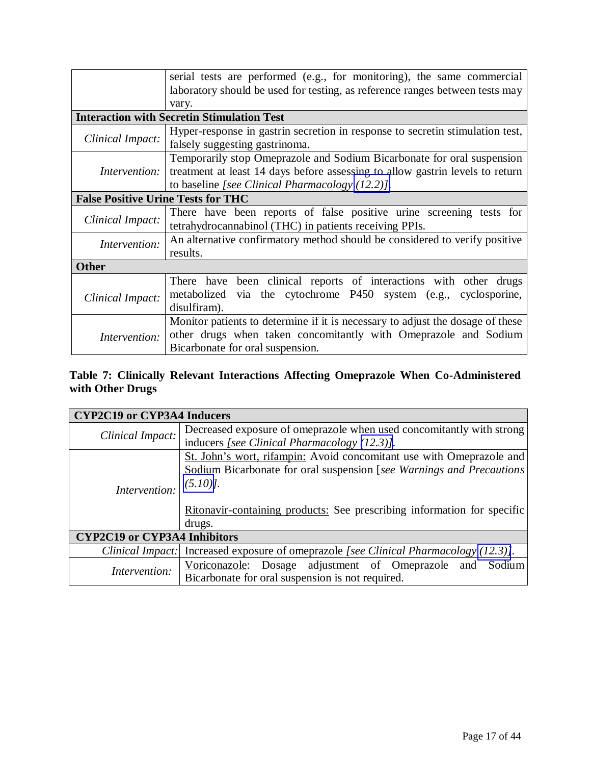|                                           | serial tests are performed (e.g., for monitoring), the same commercial         |  |  |  |
|-------------------------------------------|--------------------------------------------------------------------------------|--|--|--|
|                                           | laboratory should be used for testing, as reference ranges between tests may   |  |  |  |
|                                           | vary.                                                                          |  |  |  |
|                                           | <b>Interaction with Secretin Stimulation Test</b>                              |  |  |  |
|                                           | Hyper-response in gastrin secretion in response to secretin stimulation test,  |  |  |  |
| Clinical Impact:                          | falsely suggesting gastrinoma.                                                 |  |  |  |
|                                           | Temporarily stop Omeprazole and Sodium Bicarbonate for oral suspension         |  |  |  |
| Intervention:                             | treatment at least 14 days before assessing to allow gastrin levels to return  |  |  |  |
|                                           | to baseline [see Clinical Pharmacology $(12.2)$ ].                             |  |  |  |
| <b>False Positive Urine Tests for THC</b> |                                                                                |  |  |  |
|                                           | There have been reports of false positive urine screening tests for            |  |  |  |
| Clinical Impact:                          | tetrahydrocannabinol (THC) in patients receiving PPIs.                         |  |  |  |
| Intervention:                             | An alternative confirmatory method should be considered to verify positive     |  |  |  |
|                                           | results.                                                                       |  |  |  |
| <b>Other</b>                              |                                                                                |  |  |  |
|                                           | There have been clinical reports of interactions with other drugs              |  |  |  |
| Clinical Impact:                          | metabolized via the cytochrome P450 system (e.g., cyclosporine,                |  |  |  |
|                                           | disulfiram).                                                                   |  |  |  |
|                                           | Monitor patients to determine if it is necessary to adjust the dosage of these |  |  |  |
| Intervention:                             | other drugs when taken concomitantly with Omeprazole and Sodium                |  |  |  |
|                                           | Bicarbonate for oral suspension.                                               |  |  |  |

# **Table 7: Clinically Relevant Interactions Affecting Omeprazole When Co-Administered with Other Drugs**

| <b>CYP2C19 or CYP3A4 Inducers</b>   |                                                                                       |  |  |  |
|-------------------------------------|---------------------------------------------------------------------------------------|--|--|--|
| Clinical Impact:                    | Decreased exposure of omeprazole when used concomitantly with strong                  |  |  |  |
|                                     | inducers [see Clinical Pharmacology (12.3)].                                          |  |  |  |
|                                     | St. John's wort, rifampin: Avoid concomitant use with Omeprazole and                  |  |  |  |
|                                     | Sodium Bicarbonate for oral suspension [see Warnings and Precautions                  |  |  |  |
| Intervention:                       | $(5.10)$ .                                                                            |  |  |  |
|                                     |                                                                                       |  |  |  |
|                                     | Ritonavir-containing products: See prescribing information for specific               |  |  |  |
| drugs.                              |                                                                                       |  |  |  |
| <b>CYP2C19 or CYP3A4 Inhibitors</b> |                                                                                       |  |  |  |
|                                     | Clinical Impact: Increased exposure of omeprazole [see Clinical Pharmacology (12.3)]. |  |  |  |
| Intervention:                       | Voriconazole: Dosage adjustment of Omeprazole and Sodium                              |  |  |  |
|                                     | Bicarbonate for oral suspension is not required.                                      |  |  |  |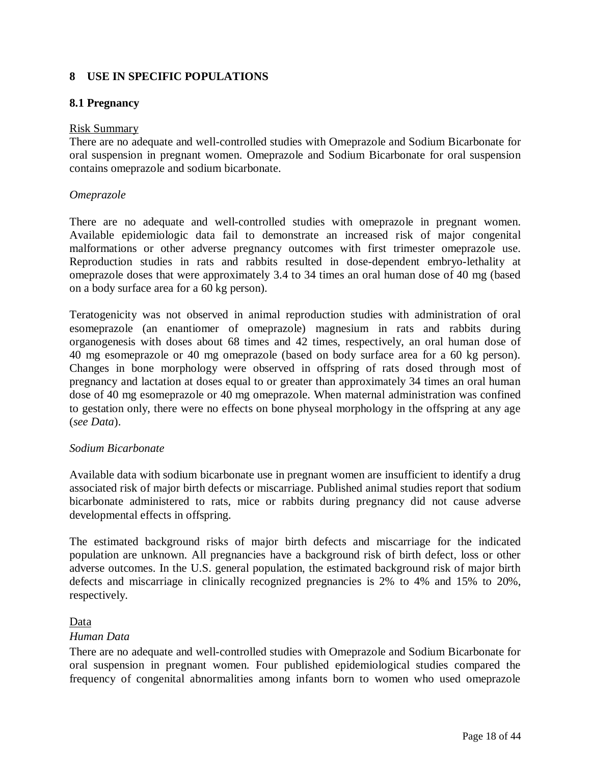# <span id="page-17-1"></span><span id="page-17-0"></span>**8 USE IN SPECIFIC POPULATIONS**

#### **8.1 Pregnancy**

#### Risk Summary

There are no adequate and well-controlled studies with Omeprazole and Sodium Bicarbonate for oral suspension in pregnant women. Omeprazole and Sodium Bicarbonate for oral suspension contains omeprazole and sodium bicarbonate.

#### *Omeprazole*

There are no adequate and well-controlled studies with omeprazole in pregnant women. Available epidemiologic data fail to demonstrate an increased risk of major congenital malformations or other adverse pregnancy outcomes with first trimester omeprazole use. Reproduction studies in rats and rabbits resulted in dose-dependent embryo-lethality at omeprazole doses that were approximately 3.4 to 34 times an oral human dose of 40 mg (based on a body surface area for a 60 kg person).

Teratogenicity was not observed in animal reproduction studies with administration of oral esomeprazole (an enantiomer of omeprazole) magnesium in rats and rabbits during organogenesis with doses about 68 times and 42 times, respectively, an oral human dose of 40 mg esomeprazole or 40 mg omeprazole (based on body surface area for a 60 kg person). Changes in bone morphology were observed in offspring of rats dosed through most of pregnancy and lactation at doses equal to or greater than approximately 34 times an oral human dose of 40 mg esomeprazole or 40 mg omeprazole. When maternal administration was confined to gestation only, there were no effects on bone physeal morphology in the offspring at any age (*see Data*).

## *Sodium Bicarbonate*

Available data with sodium bicarbonate use in pregnant women are insufficient to identify a drug associated risk of major birth defects or miscarriage. Published animal studies report that sodium bicarbonate administered to rats, mice or rabbits during pregnancy did not cause adverse developmental effects in offspring.

The estimated background risks of major birth defects and miscarriage for the indicated population are unknown. All pregnancies have a background risk of birth defect, loss or other adverse outcomes. In the U.S. general population, the estimated background risk of major birth defects and miscarriage in clinically recognized pregnancies is 2% to 4% and 15% to 20%, respectively.

## Data

#### *Human Data*

There are no adequate and well-controlled studies with Omeprazole and Sodium Bicarbonate for oral suspension in pregnant women. Four published epidemiological studies compared the frequency of congenital abnormalities among infants born to women who used omeprazole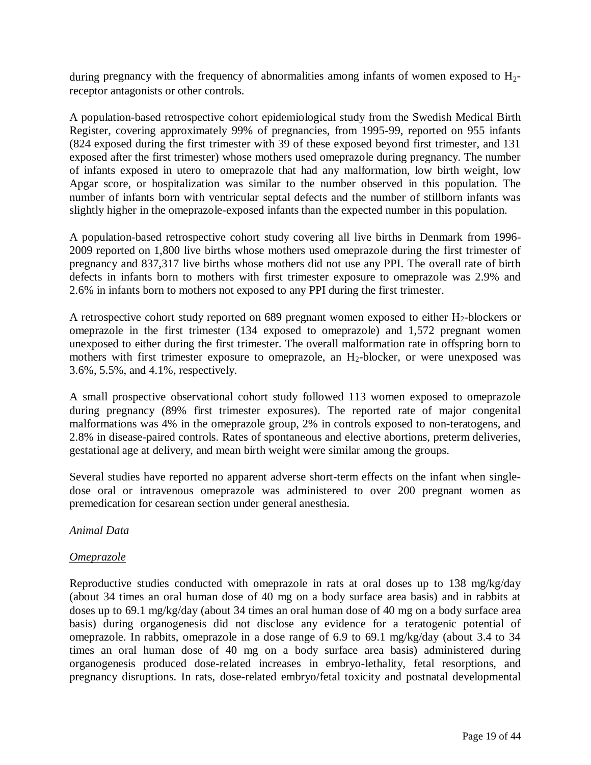during pregnancy with the frequency of abnormalities among infants of women exposed to  $H_2$ receptor antagonists or other controls.

A population-based retrospective cohort epidemiological study from the Swedish Medical Birth Register, covering approximately 99% of pregnancies, from 1995-99, reported on 955 infants (824 exposed during the first trimester with 39 of these exposed beyond first trimester, and 131 exposed after the first trimester) whose mothers used omeprazole during pregnancy. The number of infants exposed in utero to omeprazole that had any malformation, low birth weight, low Apgar score, or hospitalization was similar to the number observed in this population. The number of infants born with ventricular septal defects and the number of stillborn infants was slightly higher in the omeprazole-exposed infants than the expected number in this population.

A population-based retrospective cohort study covering all live births in Denmark from 1996- 2009 reported on 1,800 live births whose mothers used omeprazole during the first trimester of pregnancy and 837,317 live births whose mothers did not use any PPI. The overall rate of birth defects in infants born to mothers with first trimester exposure to omeprazole was 2.9% and 2.6% in infants born to mothers not exposed to any PPI during the first trimester.

A retrospective cohort study reported on 689 pregnant women exposed to either  $H_2$ -blockers or omeprazole in the first trimester (134 exposed to omeprazole) and 1,572 pregnant women unexposed to either during the first trimester. The overall malformation rate in offspring born to mothers with first trimester exposure to omeprazole, an  $H_2$ -blocker, or were unexposed was 3.6%, 5.5%, and 4.1%, respectively.

A small prospective observational cohort study followed 113 women exposed to omeprazole during pregnancy (89% first trimester exposures). The reported rate of major congenital malformations was 4% in the omeprazole group, 2% in controls exposed to non-teratogens, and 2.8% in disease-paired controls. Rates of spontaneous and elective abortions, preterm deliveries, gestational age at delivery, and mean birth weight were similar among the groups.

Several studies have reported no apparent adverse short-term effects on the infant when singledose oral or intravenous omeprazole was administered to over 200 pregnant women as premedication for cesarean section under general anesthesia.

## *Animal Data*

## *Omeprazole*

Reproductive studies conducted with omeprazole in rats at oral doses up to 138 mg/kg/day (about 34 times an oral human dose of 40 mg on a body surface area basis) and in rabbits at doses up to 69.1 mg/kg/day (about 34 times an oral human dose of 40 mg on a body surface area basis) during organogenesis did not disclose any evidence for a teratogenic potential of omeprazole. In rabbits, omeprazole in a dose range of 6.9 to 69.1 mg/kg/day (about 3.4 to 34 times an oral human dose of 40 mg on a body surface area basis) administered during organogenesis produced dose-related increases in embryo-lethality, fetal resorptions, and pregnancy disruptions. In rats, dose-related embryo/fetal toxicity and postnatal developmental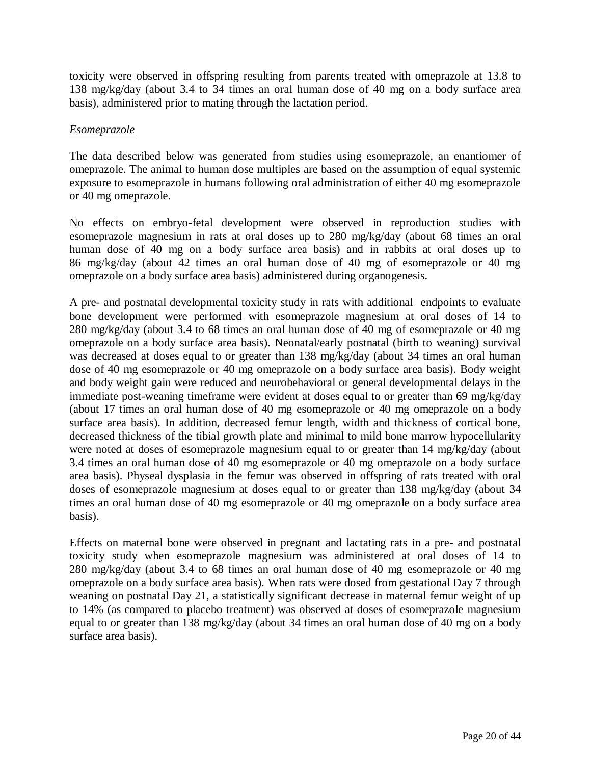toxicity were observed in offspring resulting from parents treated with omeprazole at 13.8 to 138 mg/kg/day (about 3.4 to 34 times an oral human dose of 40 mg on a body surface area basis), administered prior to mating through the lactation period.

# *Esomeprazole*

The data described below was generated from studies using esomeprazole, an enantiomer of omeprazole. The animal to human dose multiples are based on the assumption of equal systemic exposure to esomeprazole in humans following oral administration of either 40 mg esomeprazole or 40 mg omeprazole.

No effects on embryo-fetal development were observed in reproduction studies with esomeprazole magnesium in rats at oral doses up to 280 mg/kg/day (about 68 times an oral human dose of 40 mg on a body surface area basis) and in rabbits at oral doses up to 86 mg/kg/day (about 42 times an oral human dose of 40 mg of esomeprazole or 40 mg omeprazole on a body surface area basis) administered during organogenesis.

A pre- and postnatal developmental toxicity study in rats with additional endpoints to evaluate bone development were performed with esomeprazole magnesium at oral doses of 14 to 280 mg/kg/day (about 3.4 to 68 times an oral human dose of 40 mg of esomeprazole or 40 mg omeprazole on a body surface area basis). Neonatal/early postnatal (birth to weaning) survival was decreased at doses equal to or greater than 138 mg/kg/day (about 34 times an oral human dose of 40 mg esomeprazole or 40 mg omeprazole on a body surface area basis). Body weight and body weight gain were reduced and neurobehavioral or general developmental delays in the immediate post-weaning timeframe were evident at doses equal to or greater than 69 mg/kg/day (about 17 times an oral human dose of 40 mg esomeprazole or 40 mg omeprazole on a body surface area basis). In addition, decreased femur length, width and thickness of cortical bone, decreased thickness of the tibial growth plate and minimal to mild bone marrow hypocellularity were noted at doses of esomeprazole magnesium equal to or greater than 14 mg/kg/day (about 3.4 times an oral human dose of 40 mg esomeprazole or 40 mg omeprazole on a body surface area basis). Physeal dysplasia in the femur was observed in offspring of rats treated with oral doses of esomeprazole magnesium at doses equal to or greater than 138 mg/kg/day (about 34 times an oral human dose of 40 mg esomeprazole or 40 mg omeprazole on a body surface area basis).

Effects on maternal bone were observed in pregnant and lactating rats in a pre- and postnatal toxicity study when esomeprazole magnesium was administered at oral doses of 14 to 280 mg/kg/day (about 3.4 to 68 times an oral human dose of 40 mg esomeprazole or 40 mg omeprazole on a body surface area basis). When rats were dosed from gestational Day 7 through weaning on postnatal Day 21, a statistically significant decrease in maternal femur weight of up to 14% (as compared to placebo treatment) was observed at doses of esomeprazole magnesium equal to or greater than 138 mg/kg/day (about 34 times an oral human dose of 40 mg on a body surface area basis).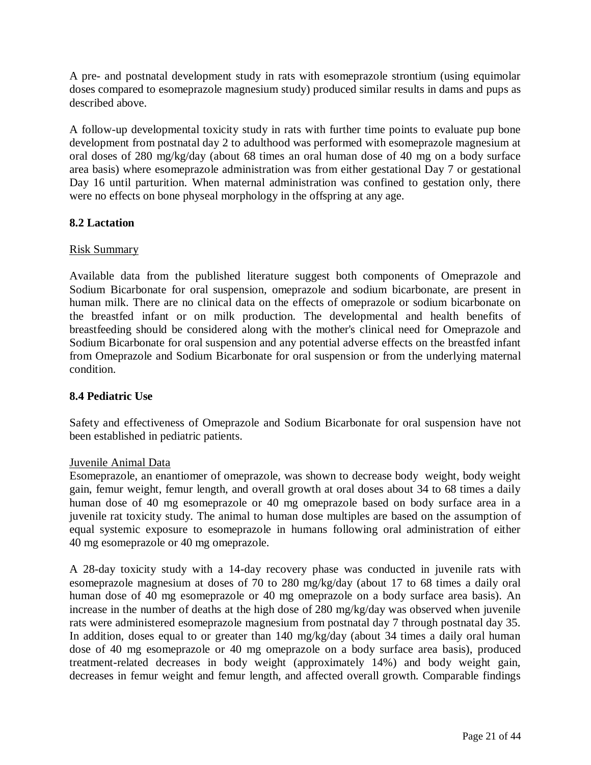<span id="page-20-0"></span>A pre- and postnatal development study in rats with esomeprazole strontium (using equimolar doses compared to esomeprazole magnesium study) produced similar results in dams and pups as described above.

A follow-up developmental toxicity study in rats with further time points to evaluate pup bone development from postnatal day 2 to adulthood was performed with esomeprazole magnesium at oral doses of 280 mg/kg/day (about 68 times an oral human dose of 40 mg on a body surface area basis) where esomeprazole administration was from either gestational Day 7 or gestational Day 16 until parturition. When maternal administration was confined to gestation only, there were no effects on bone physeal morphology in the offspring at any age.

# **8.2 Lactation**

# Risk Summary

Available data from the published literature suggest both components of Omeprazole and Sodium Bicarbonate for oral suspension, omeprazole and sodium bicarbonate, are present in human milk. There are no clinical data on the effects of omeprazole or sodium bicarbonate on the breastfed infant or on milk production. The developmental and health benefits of breastfeeding should be considered along with the mother's clinical need for Omeprazole and Sodium Bicarbonate for oral suspension and any potential adverse effects on the breastfed infant from Omeprazole and Sodium Bicarbonate for oral suspension or from the underlying maternal condition.

# **8.4 Pediatric Use**

Safety and effectiveness of Omeprazole and Sodium Bicarbonate for oral suspension have not been established in pediatric patients.

# Juvenile Animal Data

Esomeprazole, an enantiomer of omeprazole, was shown to decrease body weight, body weight gain, femur weight, femur length, and overall growth at oral doses about 34 to 68 times a daily human dose of 40 mg esomeprazole or 40 mg omeprazole based on body surface area in a juvenile rat toxicity study. The animal to human dose multiples are based on the assumption of equal systemic exposure to esomeprazole in humans following oral administration of either 40 mg esomeprazole or 40 mg omeprazole.

A 28-day toxicity study with a 14-day recovery phase was conducted in juvenile rats with esomeprazole magnesium at doses of 70 to 280 mg/kg/day (about 17 to 68 times a daily oral human dose of 40 mg esomeprazole or 40 mg omeprazole on a body surface area basis). An increase in the number of deaths at the high dose of 280 mg/kg/day was observed when juvenile rats were administered esomeprazole magnesium from postnatal day 7 through postnatal day 35. In addition, doses equal to or greater than 140 mg/kg/day (about 34 times a daily oral human dose of 40 mg esomeprazole or 40 mg omeprazole on a body surface area basis), produced treatment-related decreases in body weight (approximately 14%) and body weight gain, decreases in femur weight and femur length, and affected overall growth. Comparable findings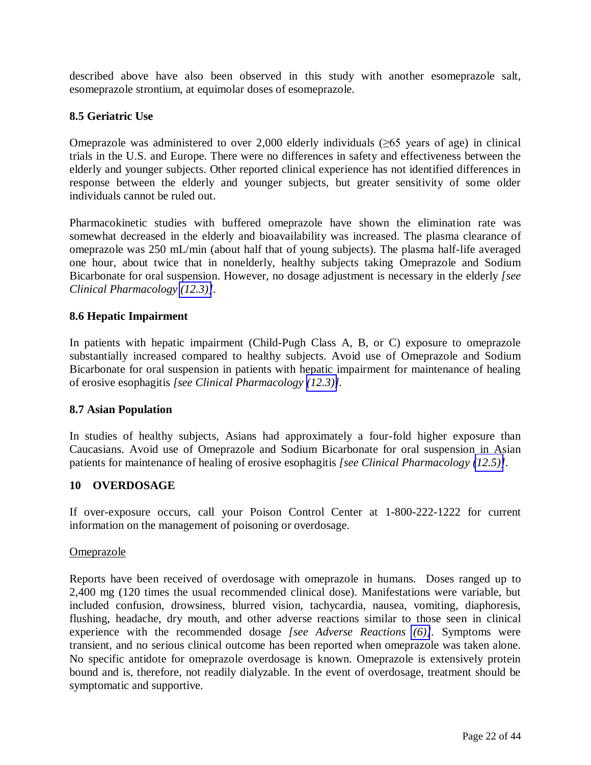<span id="page-21-0"></span>described above have also been observed in this study with another esomeprazole salt, esomeprazole strontium, at equimolar doses of esomeprazole.

# **8.5 Geriatric Use**

Omeprazole was administered to over 2,000 elderly individuals  $(\geq 65$  years of age) in clinical trials in the U.S. and Europe. There were no differences in safety and effectiveness between the elderly and younger subjects. Other reported clinical experience has not identified differences in response between the elderly and younger subjects, but greater sensitivity of some older individuals cannot be ruled out.

Pharmacokinetic studies with buffered omeprazole have shown the elimination rate was somewhat decreased in the elderly and bioavailability was increased. The plasma clearance of omeprazole was 250 mL/min (about half that of young subjects). The plasma half-life averaged one hour, about twice that in nonelderly, healthy subjects taking Omeprazole and Sodium Bicarbonate for oral suspension. However, no dosage adjustment is necessary in the elderly *[see Clinical Pharmacology [\(12.3\)\]](#page-25-0).* 

## **8.6 Hepatic Impairment**

In patients with hepatic impairment (Child-Pugh Class A, B, or C) exposure to omeprazole substantially increased compared to healthy subjects. Avoid use of Omeprazole and Sodium Bicarbonate for oral suspension in patients with hepatic impairment for maintenance of healing of erosive esophagitis *[see Clinical Pharmacology [\(12.3\)\]](#page-25-0).* 

## **8.7 Asian Population**

In studies of healthy subjects, Asians had approximately a four-fold higher exposure than Caucasians. Avoid use of Omeprazole and Sodium Bicarbonate for oral suspension in Asian patients for maintenance of healing of erosive esophagitis *[see Clinical Pharmacology [\(12.5\)\]](#page-29-0).* 

## **10 OVERDOSAGE**

If over-exposure occurs, call your Poison Control Center at 1-800-222-1222 for current information on the management of poisoning or overdosage.

#### Omeprazole

Reports have been received of overdosage with omeprazole in humans. Doses ranged up to 2,400 mg (120 times the usual recommended clinical dose). Manifestations were variable, but included confusion, drowsiness, blurred vision, tachycardia, nausea, vomiting, diaphoresis, flushing, headache, dry mouth, and other adverse reactions similar to those seen in clinical experience with the recommended dosage *[see Adverse Reactions [\(6\)\]](#page-8-5).* Symptoms were transient, and no serious clinical outcome has been reported when omeprazole was taken alone. No specific antidote for omeprazole overdosage is known. Omeprazole is extensively protein bound and is, therefore, not readily dialyzable. In the event of overdosage, treatment should be symptomatic and supportive.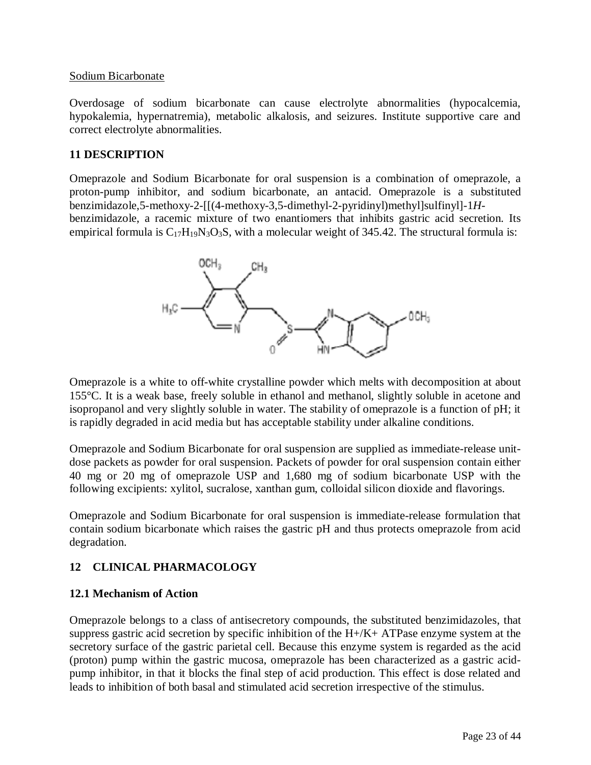#### <span id="page-22-0"></span>Sodium Bicarbonate

Overdosage of sodium bicarbonate can cause electrolyte abnormalities (hypocalcemia, hypokalemia, hypernatremia), metabolic alkalosis, and seizures. Institute supportive care and correct electrolyte abnormalities.

# **11 DESCRIPTION**

Omeprazole and Sodium Bicarbonate for oral suspension is a combination of omeprazole, a proton-pump inhibitor, and sodium bicarbonate, an antacid. Omeprazole is a substituted benzimidazole,5-methoxy-2-[[(4-methoxy-3,5-dimethyl-2-pyridinyl)methyl]sulfinyl]-1*H*benzimidazole, a racemic mixture of two enantiomers that inhibits gastric acid secretion. Its empirical formula is  $C_{17}H_{19}N_3O_3S$ , with a molecular weight of 345.42. The structural formula is:



Omeprazole is a white to off-white crystalline powder which melts with decomposition at about 155°C. It is a weak base, freely soluble in ethanol and methanol, slightly soluble in acetone and isopropanol and very slightly soluble in water. The stability of omeprazole is a function of pH; it is rapidly degraded in acid media but has acceptable stability under alkaline conditions.

Omeprazole and Sodium Bicarbonate for oral suspension are supplied as immediate-release unitdose packets as powder for oral suspension. Packets of powder for oral suspension contain either 40 mg or 20 mg of omeprazole USP and 1,680 mg of sodium bicarbonate USP with the following excipients: xylitol, sucralose, xanthan gum, colloidal silicon dioxide and flavorings.

Omeprazole and Sodium Bicarbonate for oral suspension is immediate-release formulation that contain sodium bicarbonate which raises the gastric pH and thus protects omeprazole from acid degradation.

# **12 CLINICAL PHARMACOLOGY**

## **12.1 Mechanism of Action**

Omeprazole belongs to a class of antisecretory compounds, the substituted benzimidazoles, that suppress gastric acid secretion by specific inhibition of the H+/K+ ATPase enzyme system at the secretory surface of the gastric parietal cell. Because this enzyme system is regarded as the acid (proton) pump within the gastric mucosa, omeprazole has been characterized as a gastric acidpump inhibitor, in that it blocks the final step of acid production. This effect is dose related and leads to inhibition of both basal and stimulated acid secretion irrespective of the stimulus.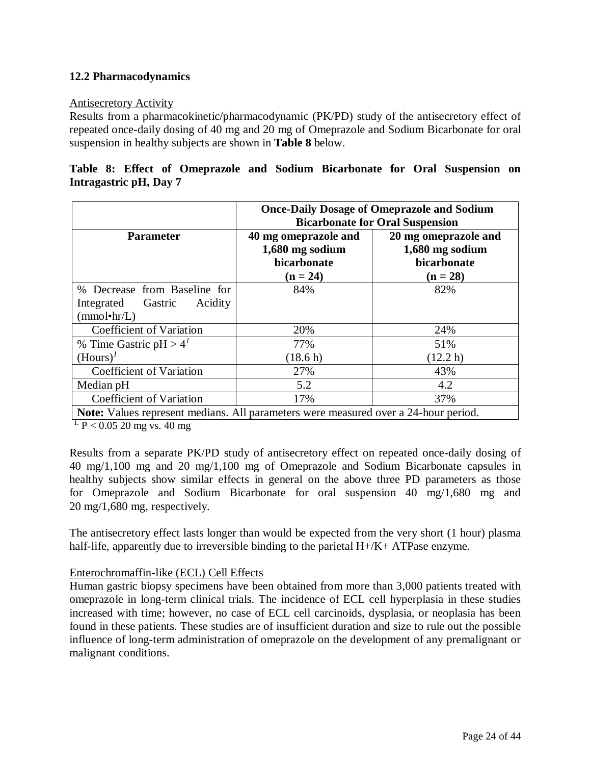# <span id="page-23-0"></span>**12.2 Pharmacodynamics**

#### Antisecretory Activity

Results from a pharmacokinetic/pharmacodynamic (PK/PD) study of the antisecretory effect of repeated once-daily dosing of 40 mg and 20 mg of Omeprazole and Sodium Bicarbonate for oral suspension in healthy subjects are shown in **Table 8** below.

# **Table 8: Effect of Omeprazole and Sodium Bicarbonate for Oral Suspension on Intragastric pH, Day 7**

|                                                                                            | <b>Once-Daily Dosage of Omeprazole and Sodium</b><br><b>Bicarbonate for Oral Suspension</b> |                                                                      |  |  |
|--------------------------------------------------------------------------------------------|---------------------------------------------------------------------------------------------|----------------------------------------------------------------------|--|--|
| <b>Parameter</b>                                                                           | 40 mg omeprazole and<br>1,680 mg sodium<br>bicarbonate<br>$(n = 24)$                        | 20 mg omeprazole and<br>1,680 mg sodium<br>bicarbonate<br>$(n = 28)$ |  |  |
| % Decrease from Baseline for                                                               | 84%                                                                                         | 82%                                                                  |  |  |
| Integrated Gastric<br>Acidity                                                              |                                                                                             |                                                                      |  |  |
| (mmol•hr/L)                                                                                |                                                                                             |                                                                      |  |  |
| Coefficient of Variation                                                                   | 20%                                                                                         | 24%                                                                  |  |  |
| % Time Gastric $pH > 4T$                                                                   | 77%                                                                                         | 51%                                                                  |  |  |
| $(Hours)^{I}$                                                                              | (18.6 h)                                                                                    | (12.2 h)                                                             |  |  |
| Coefficient of Variation                                                                   | 27%                                                                                         | 43%                                                                  |  |  |
| Median pH                                                                                  | 5.2                                                                                         | 4.2                                                                  |  |  |
| Coefficient of Variation                                                                   | 17%                                                                                         | 37%                                                                  |  |  |
| <b>Note:</b> Values represent medians. All parameters were measured over a 24-hour period. |                                                                                             |                                                                      |  |  |

 $\frac{1. \text{ P}}{1. \text{ P}}$  < 0.05 20 mg vs. 40 mg

Results from a separate PK/PD study of antisecretory effect on repeated once-daily dosing of 40 mg/1,100 mg and 20 mg/1,100 mg of Omeprazole and Sodium Bicarbonate capsules in healthy subjects show similar effects in general on the above three PD parameters as those for Omeprazole and Sodium Bicarbonate for oral suspension 40 mg/1,680 mg and 20 mg/1,680 mg, respectively.

The antisecretory effect lasts longer than would be expected from the very short (1 hour) plasma half-life, apparently due to irreversible binding to the parietal H+/K+ ATPase enzyme.

## Enterochromaffin-like (ECL) Cell Effects

Human gastric biopsy specimens have been obtained from more than 3,000 patients treated with omeprazole in long-term clinical trials. The incidence of ECL cell hyperplasia in these studies increased with time; however, no case of ECL cell carcinoids, dysplasia, or neoplasia has been found in these patients. These studies are of insufficient duration and size to rule out the possible influence of long-term administration of omeprazole on the development of any premalignant or malignant conditions.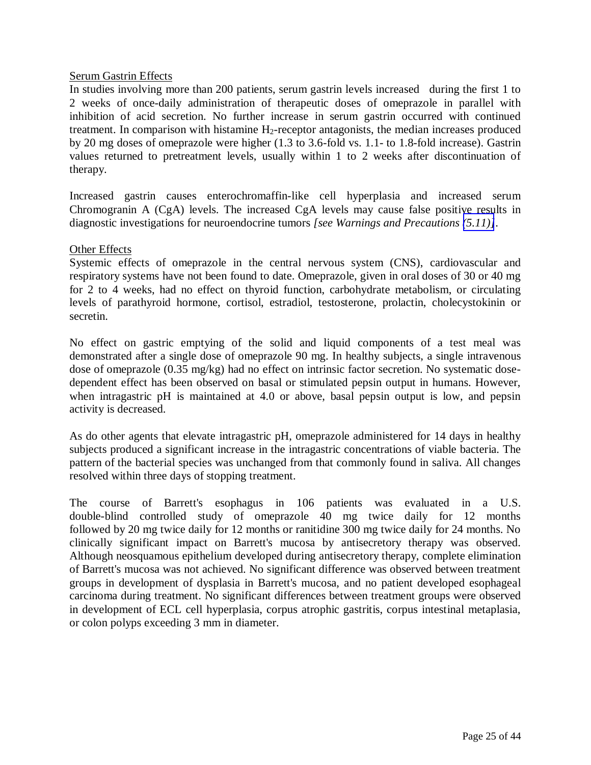#### Serum Gastrin Effects

In studies involving more than 200 patients, serum gastrin levels increased during the first 1 to 2 weeks of once-daily administration of therapeutic doses of omeprazole in parallel with inhibition of acid secretion. No further increase in serum gastrin occurred with continued treatment. In comparison with histamine H<sub>2</sub>-receptor antagonists, the median increases produced by 20 mg doses of omeprazole were higher (1.3 to 3.6-fold vs. 1.1- to 1.8-fold increase). Gastrin values returned to pretreatment levels, usually within 1 to 2 weeks after discontinuation of therapy.

Increased gastrin causes enterochromaffin-like cell hyperplasia and increased serum Chromogranin A (CgA) levels. The increased CgA levels may cause false positive results in diagnostic investigations for neuroendocrine tumors *[see Warnings and Precautions [\(5.11\)\]](#page-8-2)*.

#### Other Effects

Systemic effects of omeprazole in the central nervous system (CNS), cardiovascular and respiratory systems have not been found to date. Omeprazole, given in oral doses of 30 or 40 mg for 2 to 4 weeks, had no effect on thyroid function, carbohydrate metabolism, or circulating levels of parathyroid hormone, cortisol, estradiol, testosterone, prolactin, cholecystokinin or secretin.

No effect on gastric emptying of the solid and liquid components of a test meal was demonstrated after a single dose of omeprazole 90 mg. In healthy subjects, a single intravenous dose of omeprazole (0.35 mg/kg) had no effect on intrinsic factor secretion. No systematic dosedependent effect has been observed on basal or stimulated pepsin output in humans. However, when intragastric pH is maintained at 4.0 or above, basal pepsin output is low, and pepsin activity is decreased.

As do other agents that elevate intragastric pH, omeprazole administered for 14 days in healthy subjects produced a significant increase in the intragastric concentrations of viable bacteria. The pattern of the bacterial species was unchanged from that commonly found in saliva. All changes resolved within three days of stopping treatment.

The course of Barrett's esophagus in 106 patients was evaluated in a U.S. double-blind controlled study of omeprazole 40 mg twice daily for 12 months followed by 20 mg twice daily for 12 months or ranitidine 300 mg twice daily for 24 months. No clinically significant impact on Barrett's mucosa by antisecretory therapy was observed. Although neosquamous epithelium developed during antisecretory therapy, complete elimination of Barrett's mucosa was not achieved. No significant difference was observed between treatment groups in development of dysplasia in Barrett's mucosa, and no patient developed esophageal carcinoma during treatment. No significant differences between treatment groups were observed in development of ECL cell hyperplasia, corpus atrophic gastritis, corpus intestinal metaplasia, or colon polyps exceeding 3 mm in diameter.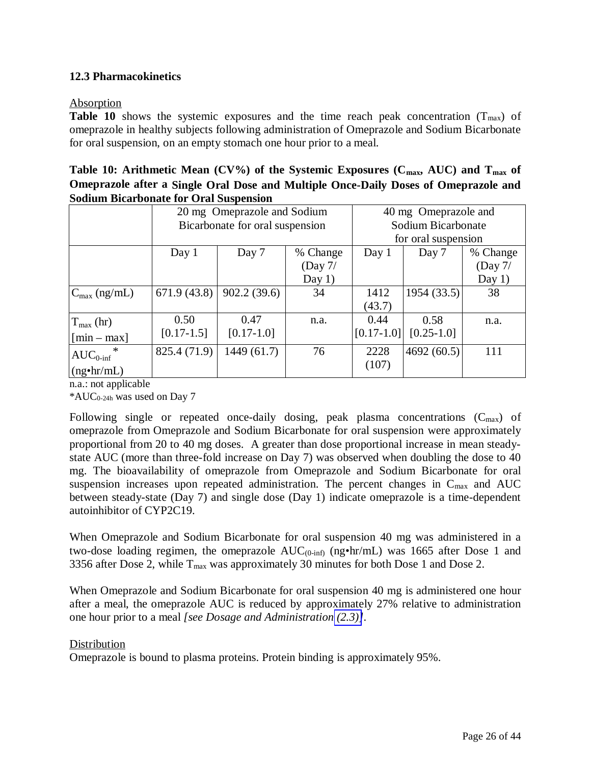# <span id="page-25-0"></span>**12.3 Pharmacokinetics**

#### Absorption

**Table 10** shows the systemic exposures and the time reach peak concentration  $(T_{max})$  of omeprazole in healthy subjects following administration of Omeprazole and Sodium Bicarbonate for oral suspension, on an empty stomach one hour prior to a meal.

| Table 10: Arithmetic Mean (CV%) of the Systemic Exposures ( $C_{\text{max}}$ , AUC) and $T_{\text{max}}$ of |
|-------------------------------------------------------------------------------------------------------------|
| Omeprazole after a Single Oral Dose and Multiple Once-Daily Doses of Omeprazole and                         |
| <b>Sodium Bicarbonate for Oral Suspension</b>                                                               |

|                          | 20 mg Omeprazole and Sodium     |              | 40 mg Omeprazole and |                |              |           |
|--------------------------|---------------------------------|--------------|----------------------|----------------|--------------|-----------|
|                          | Bicarbonate for oral suspension |              | Sodium Bicarbonate   |                |              |           |
|                          |                                 |              | for oral suspension  |                |              |           |
|                          | Day 1                           | Day 7        | % Change             | Day 1          | Day 7        | % Change  |
|                          |                                 |              | (Day 7/              |                |              | (Day $7/$ |
|                          |                                 |              | Day $1)$             |                |              | Day $1)$  |
| $C_{\text{max}}$ (ng/mL) | 671.9 $(43.8)$                  | 902.2(39.6)  | 34                   | 1412           | 1954(33.5)   | 38        |
|                          |                                 |              |                      | (43.7)         |              |           |
| $T_{\text{max}}$ (hr)    | 0.50                            | 0.47         | n.a.                 | 0.44           | 0.58         | n.a.      |
| $[min - max]$            | $[0.17-1.5]$                    | $[0.17-1.0]$ |                      | $[0.17 - 1.0]$ | $[0.25-1.0]$ |           |
| $AUC_{0\text{-inf}}$     | 825.4 (71.9)                    | 1449 (61.7)  | 76                   | 2228           | 4692(60.5)   | 111       |
| $(ng\cdot hr/mL)$        |                                 |              |                      | (107)          |              |           |

n.a.: not applicable

 $*AUC_{0.24h}$  was used on Day 7

Following single or repeated once-daily dosing, peak plasma concentrations  $(C_{max})$  of omeprazole from Omeprazole and Sodium Bicarbonate for oral suspension were approximately proportional from 20 to 40 mg doses. A greater than dose proportional increase in mean steadystate AUC (more than three-fold increase on Day 7) was observed when doubling the dose to 40 mg. The bioavailability of omeprazole from Omeprazole and Sodium Bicarbonate for oral suspension increases upon repeated administration. The percent changes in C<sub>max</sub> and AUC between steady-state (Day 7) and single dose (Day 1) indicate omeprazole is a time-dependent autoinhibitor of CYP2C19.

When Omeprazole and Sodium Bicarbonate for oral suspension 40 mg was administered in a two-dose loading regimen, the omeprazole  $AUC_{(0\text{-inf})}$  (ng•hr/mL) was 1665 after Dose 1 and 3356 after Dose 2, while  $T_{\text{max}}$  was approximately 30 minutes for both Dose 1 and Dose 2.

When Omeprazole and Sodium Bicarbonate for oral suspension 40 mg is administered one hour after a meal, the omeprazole AUC is reduced by approximately 27% relative to administration one hour prior to a meal *[see Dosage and Administration [\(2.3\)\]](#page-4-1)*.

## Distribution

Omeprazole is bound to plasma proteins. Protein binding is approximately 95%.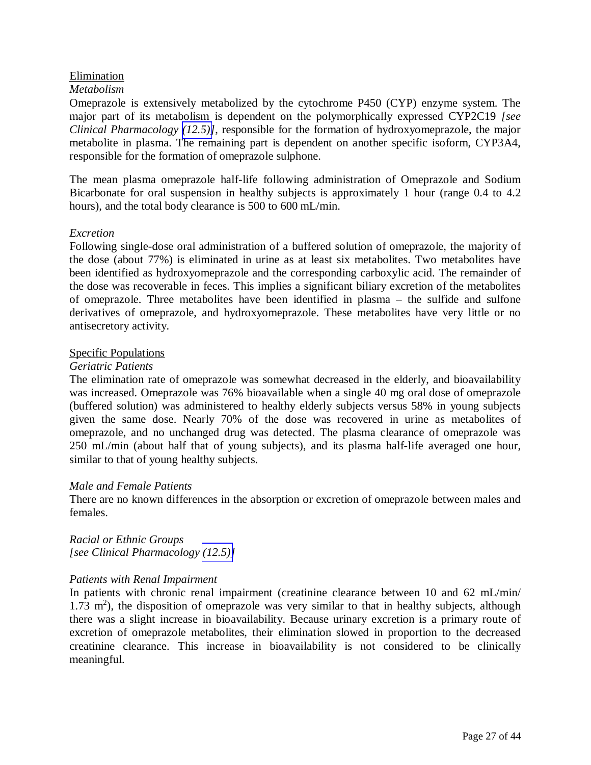# Elimination

#### *Metabolism*

Omeprazole is extensively metabolized by the cytochrome P450 (CYP) enzyme system. The major part of its metabolism is dependent on the polymorphically expressed CYP2C19 *[see Clinical Pharmacology [\(12.5\)\]](#page-29-0)*, responsible for the formation of hydroxyomeprazole, the major metabolite in plasma. The remaining part is dependent on another specific isoform, CYP3A4, responsible for the formation of omeprazole sulphone.

The mean plasma omeprazole half-life following administration of Omeprazole and Sodium Bicarbonate for oral suspension in healthy subjects is approximately 1 hour (range 0.4 to 4.2 hours), and the total body clearance is 500 to 600 mL/min.

#### *Excretion*

Following single-dose oral administration of a buffered solution of omeprazole, the majority of the dose (about 77%) is eliminated in urine as at least six metabolites. Two metabolites have been identified as hydroxyomeprazole and the corresponding carboxylic acid. The remainder of the dose was recoverable in feces. This implies a significant biliary excretion of the metabolites of omeprazole. Three metabolites have been identified in plasma – the sulfide and sulfone derivatives of omeprazole, and hydroxyomeprazole. These metabolites have very little or no antisecretory activity.

#### Specific Populations

#### *Geriatric Patients*

The elimination rate of omeprazole was somewhat decreased in the elderly, and bioavailability was increased. Omeprazole was 76% bioavailable when a single 40 mg oral dose of omeprazole (buffered solution) was administered to healthy elderly subjects versus 58% in young subjects given the same dose. Nearly 70% of the dose was recovered in urine as metabolites of omeprazole, and no unchanged drug was detected. The plasma clearance of omeprazole was 250 mL/min (about half that of young subjects), and its plasma half-life averaged one hour, similar to that of young healthy subjects.

## *Male and Female Patients*

There are no known differences in the absorption or excretion of omeprazole between males and females.

*Racial or Ethnic Groups [see Clinical Pharmacology [\(12.5\)\]](#page-29-0)* 

## *Patients with Renal Impairment*

In patients with chronic renal impairment (creatinine clearance between 10 and 62 mL/min/  $1.73$  m<sup>2</sup>), the disposition of omeprazole was very similar to that in healthy subjects, although there was a slight increase in bioavailability. Because urinary excretion is a primary route of excretion of omeprazole metabolites, their elimination slowed in proportion to the decreased creatinine clearance. This increase in bioavailability is not considered to be clinically meaningful.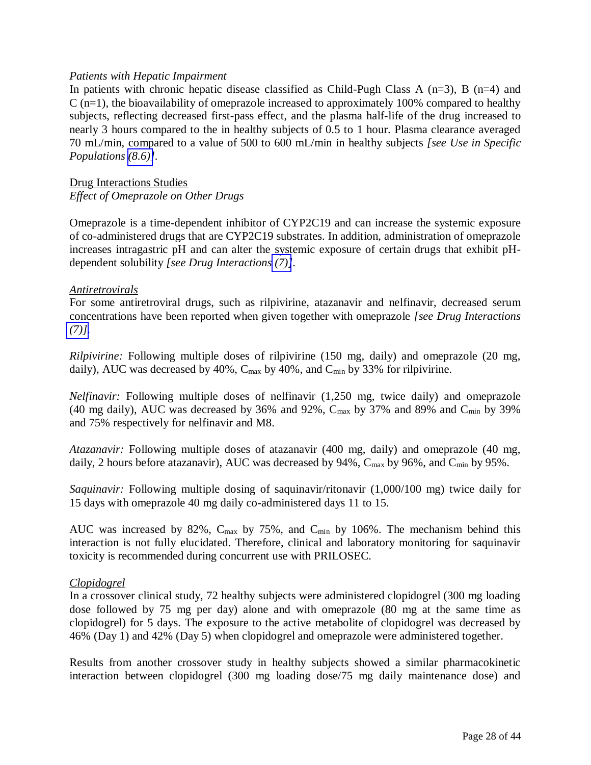## *Patients with Hepatic Impairment*

In patients with chronic hepatic disease classified as Child-Pugh Class A  $(n=3)$ , B  $(n=4)$  and  $C$  (n=1), the bioavailability of omeprazole increased to approximately 100% compared to healthy subjects, reflecting decreased first-pass effect, and the plasma half-life of the drug increased to nearly 3 hours compared to the in healthy subjects of 0.5 to 1 hour. Plasma clearance averaged 70 mL/min, compared to a value of 500 to 600 mL/min in healthy subjects *[see Use in Specific Populations [\(8.6\)\]](#page-21-0).*

### Drug Interactions Studies *Effect of Omeprazole on Other Drugs*

Omeprazole is a time-dependent inhibitor of CYP2C19 and can increase the systemic exposure of co-administered drugs that are CYP2C19 substrates. In addition, administration of omeprazole increases intragastric pH and can alter the systemic exposure of certain drugs that exhibit pHdependent solubility *[see Drug Interactions [\(7\)\]](#page-13-1).* 

#### *Antiretrovirals*

For some antiretroviral drugs, such as rilpivirine, atazanavir and nelfinavir, decreased serum concentrations have been reported when given together with omeprazole *[see Drug Interactions*   $(7)$ ].

*Rilpivirine:* Following multiple doses of rilpivirine (150 mg, daily) and omeprazole (20 mg, daily), AUC was decreased by 40%,  $C_{\text{max}}$  by 40%, and  $C_{\text{min}}$  by 33% for rilpivirine.

*Nelfinavir:* Following multiple doses of nelfinavir (1,250 mg, twice daily) and omeprazole (40 mg daily), AUC was decreased by 36% and 92%,  $C_{\text{max}}$  by 37% and 89% and  $C_{\text{min}}$  by 39% and 75% respectively for nelfinavir and M8.

*Atazanavir:* Following multiple doses of atazanavir (400 mg, daily) and omeprazole (40 mg, daily, 2 hours before atazanavir), AUC was decreased by 94%, C<sub>max</sub> by 96%, and C<sub>min</sub> by 95%.

*Saquinavir:* Following multiple dosing of saquinavir/ritonavir (1,000/100 mg) twice daily for 15 days with omeprazole 40 mg daily co-administered days 11 to 15.

AUC was increased by 82%,  $C_{\text{max}}$  by 75%, and  $C_{\text{min}}$  by 106%. The mechanism behind this interaction is not fully elucidated. Therefore, clinical and laboratory monitoring for saquinavir toxicity is recommended during concurrent use with PRILOSEC.

## *Clopidogrel*

In a crossover clinical study, 72 healthy subjects were administered clopidogrel (300 mg loading dose followed by 75 mg per day) alone and with omeprazole (80 mg at the same time as clopidogrel) for 5 days. The exposure to the active metabolite of clopidogrel was decreased by 46% (Day 1) and 42% (Day 5) when clopidogrel and omeprazole were administered together.

Results from another crossover study in healthy subjects showed a similar pharmacokinetic interaction between clopidogrel (300 mg loading dose/75 mg daily maintenance dose) and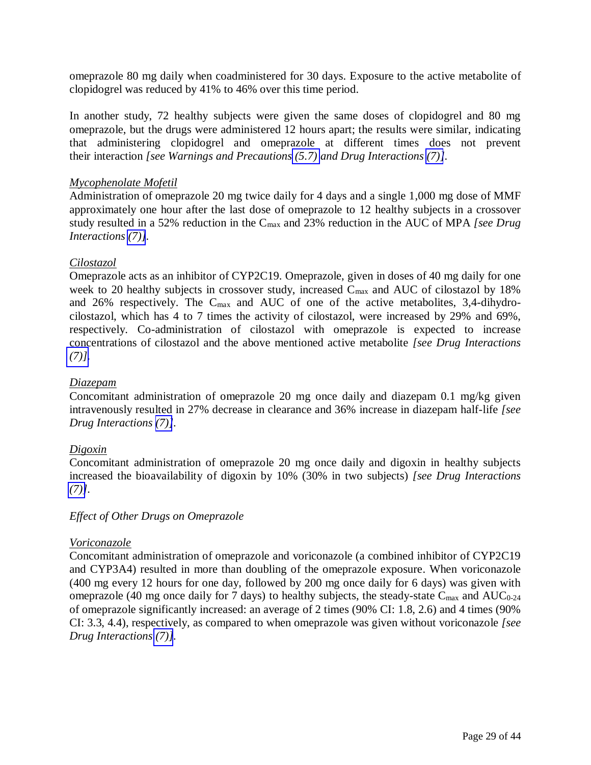omeprazole 80 mg daily when coadministered for 30 days. Exposure to the active metabolite of clopidogrel was reduced by 41% to 46% over this time period.

In another study, 72 healthy subjects were given the same doses of clopidogrel and 80 mg omeprazole, but the drugs were administered 12 hours apart; the results were similar, indicating that administering clopidogrel and omeprazole at different times does not prevent their interaction *[see Warnings and Precautions [\(5.7\)](#page-6-4) and Drug Interactions [\(7\)\]](#page-13-1).* 

#### *Mycophenolate Mofetil*

Administration of omeprazole 20 mg twice daily for 4 days and a single 1,000 mg dose of MMF approximately one hour after the last dose of omeprazole to 12 healthy subjects in a crossover study resulted in a 52% reduction in the Cmax and 23% reduction in the AUC of MPA *[see Drug Interactions [\(7\)\]](#page-13-1).* 

## *Cilostazol*

Omeprazole acts as an inhibitor of CYP2C19. Omeprazole, given in doses of 40 mg daily for one week to 20 healthy subjects in crossover study, increased  $C_{\text{max}}$  and AUC of cilostazol by 18% and 26% respectively. The Cmax and AUC of one of the active metabolites, 3,4-dihydrocilostazol, which has 4 to 7 times the activity of cilostazol, were increased by 29% and 69%, respectively. Co-administration of cilostazol with omeprazole is expected to increase concentrations of cilostazol and the above mentioned active metabolite *[see Drug Interactions*   $(7)$ ].

#### *Diazepam*

Concomitant administration of omeprazole 20 mg once daily and diazepam 0.1 mg/kg given intravenously resulted in 27% decrease in clearance and 36% increase in diazepam half-life *[see Drug Interactions [\(7\)\]](#page-13-1).* 

## *Digoxin*

Concomitant administration of omeprazole 20 mg once daily and digoxin in healthy subjects increased the bioavailability of digoxin by 10% (30% in two subjects) *[see Drug Interactions*   $(7)$ ].

## *Effect of Other Drugs on Omeprazole*

## *Voriconazole*

Concomitant administration of omeprazole and voriconazole (a combined inhibitor of CYP2C19 and CYP3A4) resulted in more than doubling of the omeprazole exposure. When voriconazole (400 mg every 12 hours for one day, followed by 200 mg once daily for 6 days) was given with omeprazole (40 mg once daily for 7 days) to healthy subjects, the steady-state  $C_{\text{max}}$  and  $AUC_{0-24}$ of omeprazole significantly increased: an average of 2 times (90% CI: 1.8, 2.6) and 4 times (90% CI: 3.3, 4.4), respectively, as compared to when omeprazole was given without voriconazole *[see Drug Interactions [\(7\)\]](#page-13-1).*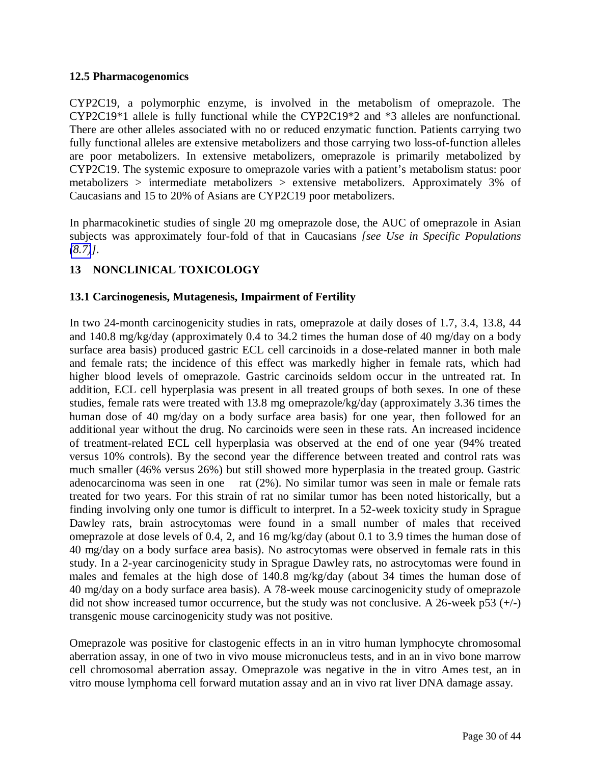## <span id="page-29-0"></span>**12.5 Pharmacogenomics**

CYP2C19, a polymorphic enzyme, is involved in the metabolism of omeprazole. The CYP2C19\*1 allele is fully functional while the CYP2C19\*2 and \*3 alleles are nonfunctional. There are other alleles associated with no or reduced enzymatic function. Patients carrying two fully functional alleles are extensive metabolizers and those carrying two loss-of-function alleles are poor metabolizers. In extensive metabolizers, omeprazole is primarily metabolized by CYP2C19. The systemic exposure to omeprazole varies with a patient's metabolism status: poor metabolizers > intermediate metabolizers > extensive metabolizers. Approximately 3% of Caucasians and 15 to 20% of Asians are CYP2C19 poor metabolizers.

In pharmacokinetic studies of single 20 mg omeprazole dose, the AUC of omeprazole in Asian subjects was approximately four-fold of that in Caucasians *[see Use in Specific Populations [\(8.7\)](#page-21-0)]*.

# **13 NONCLINICAL TOXICOLOGY**

# **13.1 Carcinogenesis, Mutagenesis, Impairment of Fertility**

In two 24-month carcinogenicity studies in rats, omeprazole at daily doses of 1.7, 3.4, 13.8, 44 and 140.8 mg/kg/day (approximately 0.4 to 34.2 times the human dose of 40 mg/day on a body surface area basis) produced gastric ECL cell carcinoids in a dose-related manner in both male and female rats; the incidence of this effect was markedly higher in female rats, which had higher blood levels of omeprazole. Gastric carcinoids seldom occur in the untreated rat. In addition, ECL cell hyperplasia was present in all treated groups of both sexes. In one of these studies, female rats were treated with 13.8 mg omeprazole/kg/day (approximately 3.36 times the human dose of 40 mg/day on a body surface area basis) for one year, then followed for an additional year without the drug. No carcinoids were seen in these rats. An increased incidence of treatment-related ECL cell hyperplasia was observed at the end of one year (94% treated versus 10% controls). By the second year the difference between treated and control rats was much smaller (46% versus 26%) but still showed more hyperplasia in the treated group. Gastric adenocarcinoma was seen in one rat (2%). No similar tumor was seen in male or female rats treated for two years. For this strain of rat no similar tumor has been noted historically, but a finding involving only one tumor is difficult to interpret. In a 52-week toxicity study in Sprague Dawley rats, brain astrocytomas were found in a small number of males that received omeprazole at dose levels of 0.4, 2, and 16 mg/kg/day (about 0.1 to 3.9 times the human dose of 40 mg/day on a body surface area basis). No astrocytomas were observed in female rats in this study. In a 2-year carcinogenicity study in Sprague Dawley rats, no astrocytomas were found in males and females at the high dose of 140.8 mg/kg/day (about 34 times the human dose of 40 mg/day on a body surface area basis). A 78-week mouse carcinogenicity study of omeprazole did not show increased tumor occurrence, but the study was not conclusive. A 26-week p53  $(+/-)$ transgenic mouse carcinogenicity study was not positive.

Omeprazole was positive for clastogenic effects in an in vitro human lymphocyte chromosomal aberration assay, in one of two in vivo mouse micronucleus tests, and in an in vivo bone marrow cell chromosomal aberration assay. Omeprazole was negative in the in vitro Ames test, an in vitro mouse lymphoma cell forward mutation assay and an in vivo rat liver DNA damage assay.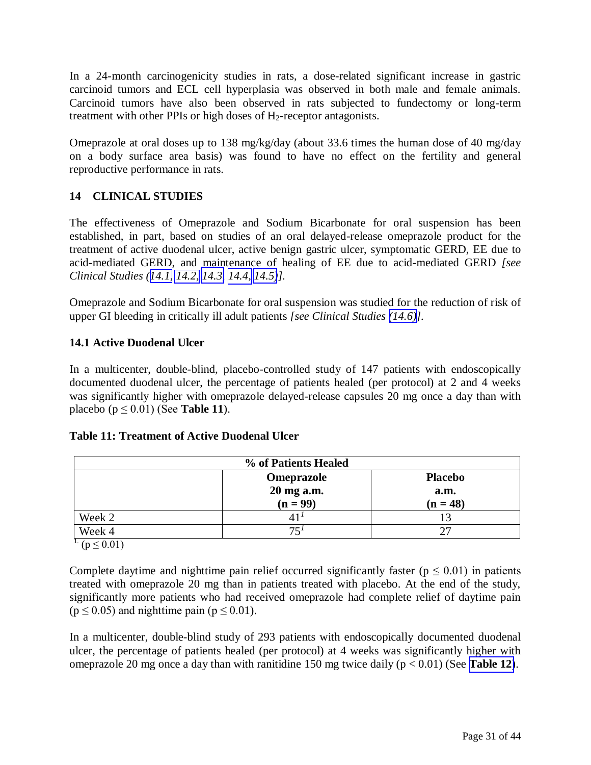<span id="page-30-0"></span>In a 24-month carcinogenicity studies in rats, a dose-related significant increase in gastric carcinoid tumors and ECL cell hyperplasia was observed in both male and female animals. Carcinoid tumors have also been observed in rats subjected to fundectomy or long-term treatment with other PPIs or high doses of H2-receptor antagonists.

Omeprazole at oral doses up to 138 mg/kg/day (about 33.6 times the human dose of 40 mg/day on a body surface area basis) was found to have no effect on the fertility and general reproductive performance in rats.

# **14 CLINICAL STUDIES**

The effectiveness of Omeprazole and Sodium Bicarbonate for oral suspension has been established, in part, based on studies of an oral delayed-release omeprazole product for the treatment of active duodenal ulcer, active benign gastric ulcer, symptomatic GERD, EE due to acid-mediated GERD, and maintenance of healing of EE due to acid-mediated GERD *[see Clinical Studies ([14.1,](#page-30-0) [14.2,](#page-31-0) [14.3, 14.4,](#page-32-0) [14.5\)](#page-33-0)].* 

Omeprazole and Sodium Bicarbonate for oral suspension was studied for the reduction of risk of upper GI bleeding in critically ill adult patients *[see Clinical Studies [\(14.6\)\]](#page-34-0).*

# **14.1 Active Duodenal Ulcer**

In a multicenter, double-blind, placebo-controlled study of 147 patients with endoscopically documented duodenal ulcer, the percentage of patients healed (per protocol) at 2 and 4 weeks was significantly higher with omeprazole delayed-release capsules 20 mg once a day than with placebo ( $p \le 0.01$ ) (See **Table 11**).

## **Table 11: Treatment of Active Duodenal Ulcer**

| % of Patients Healed           |            |                |  |  |
|--------------------------------|------------|----------------|--|--|
|                                | Omeprazole | <b>Placebo</b> |  |  |
|                                | 20 mg a.m. | a.m.           |  |  |
|                                | $(n = 99)$ | $(n = 48)$     |  |  |
| Week 2                         |            |                |  |  |
| Week 4                         | 75         | 27             |  |  |
| $\frac{1}{2}$ (p $\leq 0.01$ ) |            |                |  |  |

Complete daytime and nighttime pain relief occurred significantly faster ( $p \le 0.01$ ) in patients treated with omeprazole 20 mg than in patients treated with placebo. At the end of the study, significantly more patients who had received omeprazole had complete relief of daytime pain  $(p \le 0.05)$  and nighttime pain  $(p \le 0.01)$ .

In a multicenter, double-blind study of 293 patients with endoscopically documented duodenal ulcer, the percentage of patients healed (per protocol) at 4 weeks was significantly higher with omeprazole 20 mg once a day than with ranitidine 150 mg twice daily (p < 0.01) (See **[Table 12](#page-31-1)**).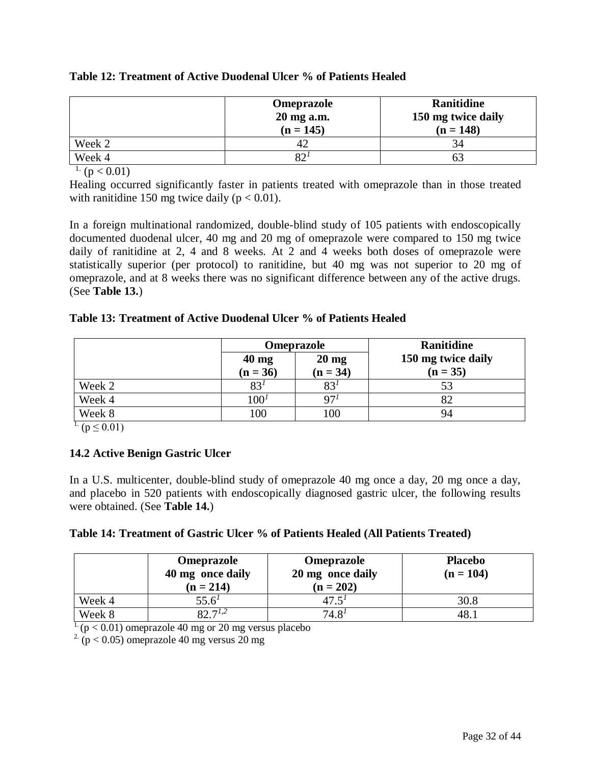|        | Omeprazole<br>20 mg a.m.<br>$(n = 145)$ | Ranitidine<br>150 mg twice daily<br>$(n = 148)$ |
|--------|-----------------------------------------|-------------------------------------------------|
| Week 2 |                                         | 34                                              |
| Week 4 | ♀∩⊹                                     | ΟĽ                                              |

# <span id="page-31-1"></span><span id="page-31-0"></span>**Table 12: Treatment of Active Duodenal Ulcer % of Patients Healed**

 $\frac{1}{1}$  (p < 0.01)

Healing occurred significantly faster in patients treated with omeprazole than in those treated with ranitidine 150 mg twice daily ( $p < 0.01$ ).

In a foreign multinational randomized, double-blind study of 105 patients with endoscopically documented duodenal ulcer, 40 mg and 20 mg of omeprazole were compared to 150 mg twice daily of ranitidine at 2, 4 and 8 weeks. At 2 and 4 weeks both doses of omeprazole were statistically superior (per protocol) to ranitidine, but 40 mg was not superior to 20 mg of omeprazole, and at 8 weeks there was no significant difference between any of the active drugs. (See **Table 13.**)

# **Table 13: Treatment of Active Duodenal Ulcer % of Patients Healed**

|        |                               | <b>Omeprazole</b>             | <b>Ranitidine</b>                |  |
|--------|-------------------------------|-------------------------------|----------------------------------|--|
|        | $40 \text{ mg}$<br>$(n = 36)$ | $20 \text{ mg}$<br>$(n = 34)$ | 150 mg twice daily<br>$(n = 35)$ |  |
| Week 2 | 83 <sup>1</sup>               | 83 <sup>1</sup>               | 53                               |  |
| Week 4 | 100 <sup>1</sup>              | 97 <sup>1</sup>               | 82                               |  |
| Week 8 | 100                           | 100                           | 94                               |  |

 $\frac{1}{1}$  (p  $\leq$  0.01)

# **14.2 Active Benign Gastric Ulcer**

In a U.S. multicenter, double-blind study of omeprazole 40 mg once a day, 20 mg once a day, and placebo in 520 patients with endoscopically diagnosed gastric ulcer, the following results were obtained. (See **Table 14.**)

## **Table 14: Treatment of Gastric Ulcer % of Patients Healed (All Patients Treated)**

|        | <b>Omeprazole</b><br>40 mg once daily<br>$(n = 214)$ | Omeprazole<br>20 mg once daily<br>$(n = 202)$ | <b>Placebo</b><br>$(n = 104)$ |
|--------|------------------------------------------------------|-----------------------------------------------|-------------------------------|
| Week 4 | $55.6^{\prime}$                                      | 47.5                                          | 30.8                          |
| Week 8 | 9271.2                                               | $74.8^{1}$                                    | 48.                           |

 $1. (p < 0.01)$  omeprazole 40 mg or 20 mg versus placebo

<sup>2</sup> ( $p < 0.05$ ) omeprazole 40 mg versus 20 mg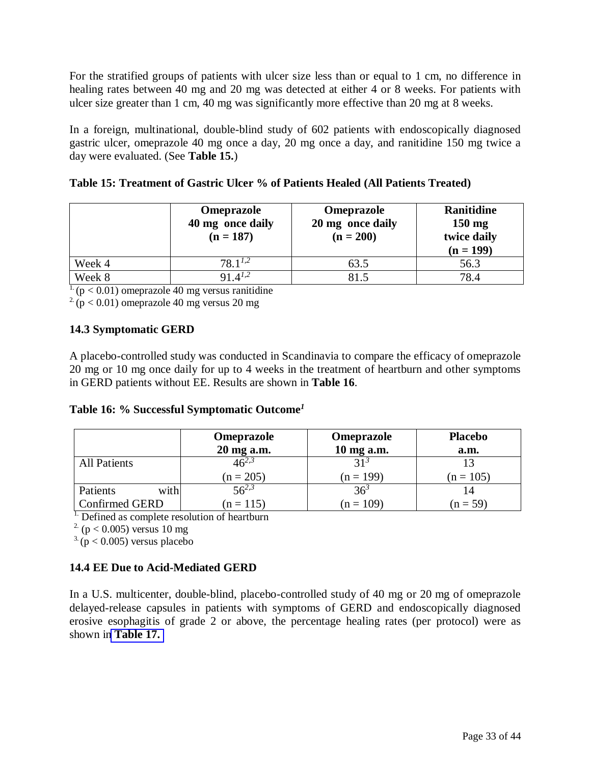<span id="page-32-0"></span>For the stratified groups of patients with ulcer size less than or equal to 1 cm, no difference in healing rates between 40 mg and 20 mg was detected at either 4 or 8 weeks. For patients with ulcer size greater than 1 cm, 40 mg was significantly more effective than 20 mg at 8 weeks.

In a foreign, multinational, double-blind study of 602 patients with endoscopically diagnosed gastric ulcer, omeprazole 40 mg once a day, 20 mg once a day, and ranitidine 150 mg twice a day were evaluated. (See **Table 15.**)

|        | Omeprazole<br>40 mg once daily<br>$(n = 187)$ | <b>Omeprazole</b><br>20 mg once daily<br>$(n = 200)$ | Ranitidine<br>$150 \text{ mg}$<br>twice daily<br>$(n = 199)$ |
|--------|-----------------------------------------------|------------------------------------------------------|--------------------------------------------------------------|
| Week 4 | $78.1^{1,2}$                                  | 63.5                                                 | 56.3                                                         |
| Week 8 | $91.4^{1,2}$                                  | 81.5                                                 | 78.4                                                         |

 $\frac{1}{1}$  (p < 0.01) omeprazole 40 mg versus ranitidine

 $2(p < 0.01)$  omeprazole 40 mg versus 20 mg

# **14.3 Symptomatic GERD**

A placebo-controlled study was conducted in Scandinavia to compare the efficacy of omeprazole 20 mg or 10 mg once daily for up to 4 weeks in the treatment of heartburn and other symptoms in GERD patients without EE. Results are shown in **Table 16**.

# **Table 16: % Successful Symptomatic Outcome***<sup>1</sup>*

|                       | Omeprazole<br>20 mg a.m. | Omeprazole<br>10 mg a.m. | <b>Placebo</b><br>a.m. |
|-----------------------|--------------------------|--------------------------|------------------------|
| <b>All Patients</b>   | $46^{2,3}$               | 31 <sup>3</sup>          | 13                     |
|                       | $(n = 205)$              | $(n = 199)$              | $(n = 105)$            |
| with<br>Patients      | $56^{2,3}$               | 36 <sup>3</sup>          | 14                     |
| <b>Confirmed GERD</b> | $(n = 115)$              | $(n = 109)$              | $(n = 59)$             |

 $\overline{1}$ . Defined as complete resolution of heartburn

<sup>2.</sup> ( $p < 0.005$ ) versus 10 mg

 $3.$  (p < 0.005) versus placebo

# **14.4 EE Due to Acid-Mediated GERD**

In a U.S. multicenter, double-blind, placebo-controlled study of 40 mg or 20 mg of omeprazole delayed-release capsules in patients with symptoms of GERD and endoscopically diagnosed erosive esophagitis of grade 2 or above, the percentage healing rates (per protocol) were as shown in **[Table 17.](#page-33-1)**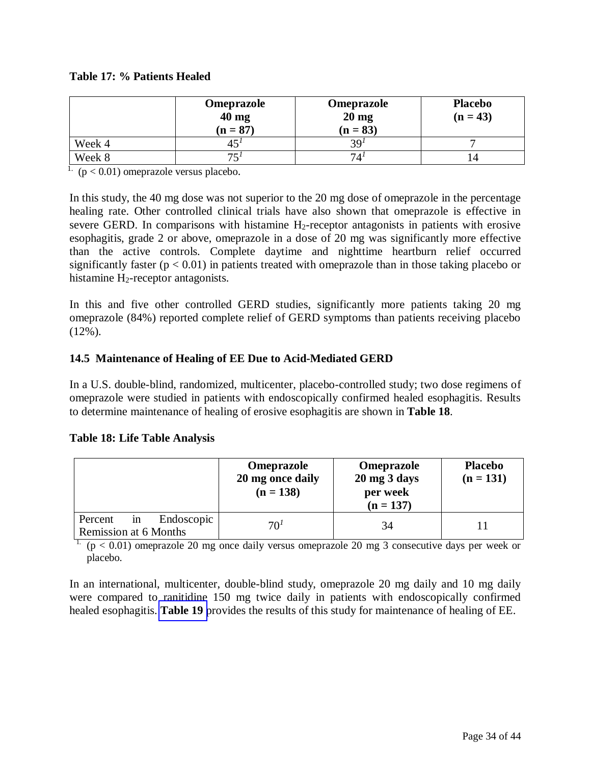# <span id="page-33-1"></span><span id="page-33-0"></span>**Table 17: % Patients Healed**

|        | Omeprazole<br>$40$ mg<br>$(n = 87)$ | <b>Omeprazole</b><br>$20 \text{ mg}$<br>$(n = 83)$ | <b>Placebo</b><br>$(n = 43)$ |
|--------|-------------------------------------|----------------------------------------------------|------------------------------|
| Week 4 |                                     | 39 <sup>t</sup>                                    |                              |
| Week 8 | 75                                  | –                                                  | $\overline{4}$               |

 $\frac{1}{1}$  (p < 0.01) omeprazole versus placebo.

In this study, the 40 mg dose was not superior to the 20 mg dose of omeprazole in the percentage healing rate. Other controlled clinical trials have also shown that omeprazole is effective in severe GERD. In comparisons with histamine  $H_2$ -receptor antagonists in patients with erosive esophagitis, grade 2 or above, omeprazole in a dose of 20 mg was significantly more effective than the active controls. Complete daytime and nighttime heartburn relief occurred significantly faster  $(p < 0.01)$  in patients treated with omeprazole than in those taking placebo or histamine H2-receptor antagonists.

In this and five other controlled GERD studies, significantly more patients taking 20 mg omeprazole (84%) reported complete relief of GERD symptoms than patients receiving placebo (12%).

# **14.5 Maintenance of Healing of EE Due to Acid-Mediated GERD**

In a U.S. double-blind, randomized, multicenter, placebo-controlled study; two dose regimens of omeprazole were studied in patients with endoscopically confirmed healed esophagitis. Results to determine maintenance of healing of erosive esophagitis are shown in **Table 18**.

# **Table 18: Life Table Analysis**

|                              | Omeprazole<br>20 mg once daily<br>$(n = 138)$ | Omeprazole<br>$20 \text{ mg } 3 \text{ days}$<br>per week<br>$(n = 137)$ | <b>Placebo</b><br>$(n = 131)$ |
|------------------------------|-----------------------------------------------|--------------------------------------------------------------------------|-------------------------------|
| Endoscopic<br>Percent<br>in  | 70 <sup>1</sup>                               | 34                                                                       |                               |
| <b>Remission at 6 Months</b> |                                               |                                                                          |                               |

<sup>1.</sup> ( $p < 0.01$ ) omeprazole 20 mg once daily versus omeprazole 20 mg 3 consecutive days per week or placebo.

In an international, multicenter, double-blind study, omeprazole 20 mg daily and 10 mg daily were compared to ranitidine 150 mg twice daily in patients with endoscopically confirmed healed esophagitis. **[Table 19](#page-34-0)** provides the results of this study for maintenance of healing of EE.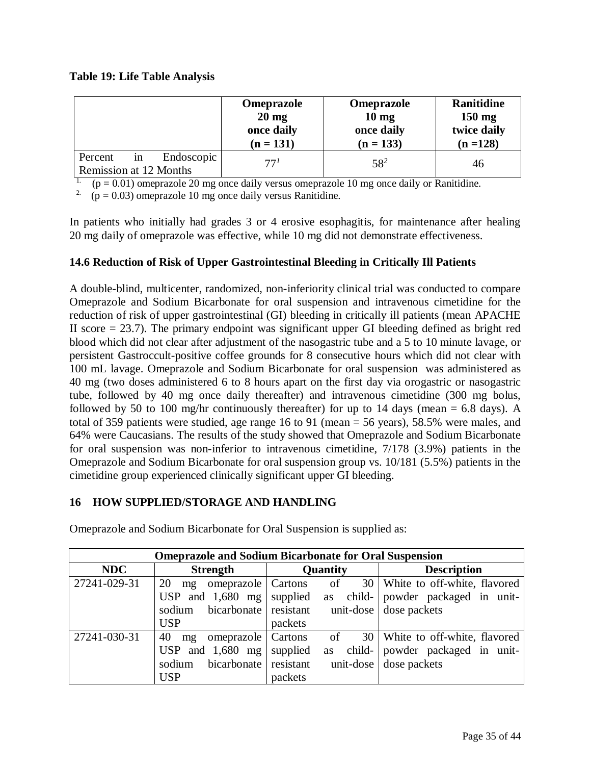# <span id="page-34-0"></span>**Table 19: Life Table Analysis**

|                             | Omeprazole<br>$20 \text{ mg}$<br>once daily<br>$(n = 131)$ | Omeprazole<br>10 <sub>mg</sub><br>once daily<br>$(n = 133)$ | Ranitidine<br>$150 \text{ mg}$<br>twice daily<br>$(n = 128)$ |
|-----------------------------|------------------------------------------------------------|-------------------------------------------------------------|--------------------------------------------------------------|
| Endoscopic<br>Percent<br>1n | 77 <sup>1</sup>                                            | $58^{2}$                                                    | 46                                                           |
| Remission at 12 Months      |                                                            |                                                             |                                                              |

 $(p = 0.01)$  omeprazole 20 mg once daily versus omeprazole 10 mg once daily or Ranitidine.

<sup>2.</sup> ( $p = 0.03$ ) omeprazole 10 mg once daily versus Ranitidine.

In patients who initially had grades 3 or 4 erosive esophagitis, for maintenance after healing 20 mg daily of omeprazole was effective, while 10 mg did not demonstrate effectiveness.

# **14.6 Reduction of Risk of Upper Gastrointestinal Bleeding in Critically Ill Patients**

A double-blind, multicenter, randomized, non-inferiority clinical trial was conducted to compare Omeprazole and Sodium Bicarbonate for oral suspension and intravenous cimetidine for the reduction of risk of upper gastrointestinal (GI) bleeding in critically ill patients (mean APACHE II score  $= 23.7$ ). The primary endpoint was significant upper GI bleeding defined as bright red blood which did not clear after adjustment of the nasogastric tube and a 5 to 10 minute lavage, or persistent Gastroccult-positive coffee grounds for 8 consecutive hours which did not clear with 100 mL lavage. Omeprazole and Sodium Bicarbonate for oral suspension was administered as 40 mg (two doses administered 6 to 8 hours apart on the first day via orogastric or nasogastric tube, followed by 40 mg once daily thereafter) and intravenous cimetidine (300 mg bolus, followed by 50 to 100 mg/hr continuously thereafter) for up to 14 days (mean  $= 6.8$  days). A total of 359 patients were studied, age range 16 to 91 (mean = 56 years), 58.5% were males, and 64% were Caucasians. The results of the study showed that Omeprazole and Sodium Bicarbonate for oral suspension was non-inferior to intravenous cimetidine, 7/178 (3.9%) patients in the Omeprazole and Sodium Bicarbonate for oral suspension group vs. 10/181 (5.5%) patients in the cimetidine group experienced clinically significant upper GI bleeding.

# **16 HOW SUPPLIED/STORAGE AND HANDLING**

| <b>Omeprazole and Sodium Bicarbonate for Oral Suspension</b> |                                     |                       |                                   |  |
|--------------------------------------------------------------|-------------------------------------|-----------------------|-----------------------------------|--|
| <b>NDC</b>                                                   | <b>Strength</b>                     | Quantity              | <b>Description</b>                |  |
| 27241-029-31                                                 | 20<br>omeprazole   Cartons<br>$m$ g | of                    | 30   White to off-white, flavored |  |
|                                                              | USP and $1,680$ mg                  | supplied<br><b>as</b> | child- powder packaged in unit-   |  |
|                                                              | bicarbonate resistant<br>sodium     |                       | unit-dose dose packets            |  |
|                                                              | <b>USP</b>                          | packets               |                                   |  |
| 27241-030-31                                                 | 40<br>omeprazole   Cartons<br>mg    | of                    | 30 White to off-white, flavored   |  |
|                                                              | USP and $1,680$ mg                  | supplied<br><b>as</b> | child- powder packaged in unit-   |  |
|                                                              | bicarbonate resistant<br>sodium     |                       | unit-dose dose packets            |  |
|                                                              | <b>USP</b>                          | packets               |                                   |  |

Omeprazole and Sodium Bicarbonate for Oral Suspension is supplied as: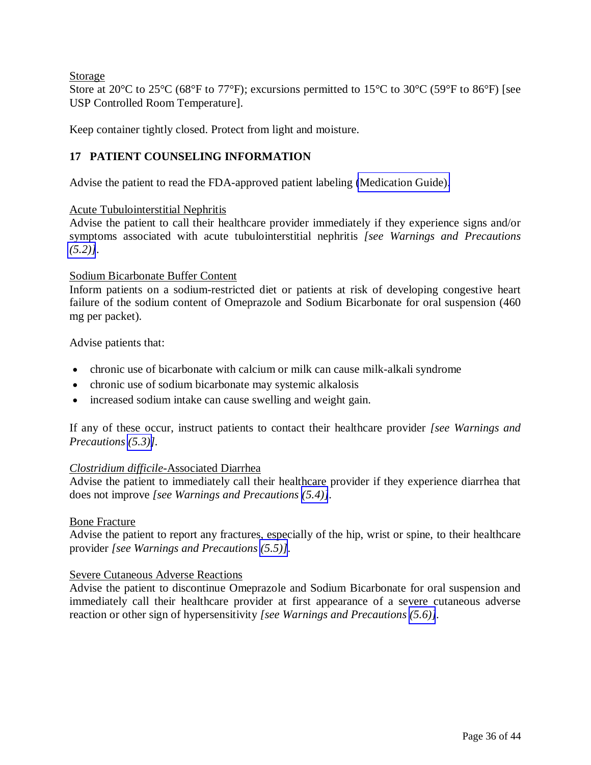<span id="page-35-0"></span>Storage

Store at 20 $\degree$ C to 25 $\degree$ C (68 $\degree$ F to 77 $\degree$ F); excursions permitted to 15 $\degree$ C to 30 $\degree$ C (59 $\degree$ F to 86 $\degree$ F) [see USP Controlled Room Temperature].

Keep container tightly closed. Protect from light and moisture.

# **17 PATIENT COUNSELING INFORMATION**

Advise the patient to read the FDA-approved patient labeling [\(Medication Guide\).](#page-37-0)

## Acute Tubulointerstitial Nephritis

Advise the patient to call their healthcare provider immediately if they experience signs and/or symptoms associated with acute tubulointerstitial nephritis *[see Warnings and Precautions [\(5.2\)\]](#page-5-2)*.

## Sodium Bicarbonate Buffer Content

Inform patients on a sodium-restricted diet or patients at risk of developing congestive heart failure of the sodium content of Omeprazole and Sodium Bicarbonate for oral suspension (460 mg per packet).

Advise patients that:

- chronic use of bicarbonate with calcium or milk can cause milk-alkali syndrome
- chronic use of sodium bicarbonate may systemic alkalosis
- increased sodium intake can cause swelling and weight gain.

If any of these occur, instruct patients to contact their healthcare provider *[see Warnings and Precautions [\(5.3\)\]](#page-5-2).* 

## *Clostridium difficile*-Associated Diarrhea

Advise the patient to immediately call their healthcare provider if they experience diarrhea that does not improve *[see Warnings and Precautions [\(5.4\)\]](#page-6-4)*.

## Bone Fracture

Advise the patient to report any fractures, especially of the hip, wrist or spine, to their healthcare provider *[see Warnings and Precautions [\(5.5\)\]](#page-6-4)*.

## Severe Cutaneous Adverse Reactions

Advise the patient to discontinue Omeprazole and Sodium Bicarbonate for oral suspension and immediately call their healthcare provider at first appearance of a severe cutaneous adverse reaction or other sign of hypersensitivity *[see Warnings and Precautions [\(5.6\)\]](#page-6-4).*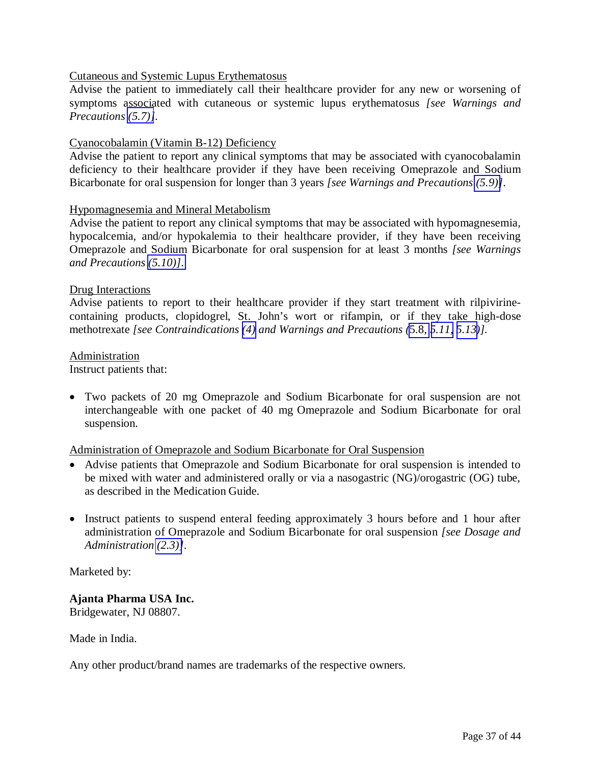#### Cutaneous and Systemic Lupus Erythematosus

Advise the patient to immediately call their healthcare provider for any new or worsening of symptoms associated with cutaneous or systemic lupus erythematosus *[see Warnings and Precautions [\(5.7\)\]](#page-6-5).* 

#### Cyanocobalamin (Vitamin B-12) Deficiency

Advise the patient to report any clinical symptoms that may be associated with cyanocobalamin deficiency to their healthcare provider if they have been receiving Omeprazole and Sodium Bicarbonate for oral suspension for longer than 3 years *[see Warnings and Precautions [\(5.9\)\]](#page-7-2)*.

#### Hypomagnesemia and Mineral Metabolism

Advise the patient to report any clinical symptoms that may be associated with hypomagnesemia, hypocalcemia, and/or hypokalemia to their healthcare provider, if they have been receiving Omeprazole and Sodium Bicarbonate for oral suspension for at least 3 months *[see Warnings and Precautions [\(5.10\)\]](#page-7-2)*.

#### Drug Interactions

Advise patients to report to their healthcare provider if they start treatment with rilpivirinecontaining products, clopidogrel, St. John's wort or rifampin, or if they take high-dose methotrexate *[see Contraindications [\(4\)](#page-5-2) and Warnings and Precautions (*[5.8](#page-7-2)*, [5.11,](#page-8-2) [5.13\)](#page-8-2)].* 

#### Administration

Instruct patients that:

 Two packets of 20 mg Omeprazole and Sodium Bicarbonate for oral suspension are not interchangeable with one packet of 40 mg Omeprazole and Sodium Bicarbonate for oral suspension.

#### Administration of Omeprazole and Sodium Bicarbonate for Oral Suspension

- Advise patients that Omeprazole and Sodium Bicarbonate for oral suspension is intended to be mixed with water and administered orally or via a nasogastric (NG)/orogastric (OG) tube, as described in the Medication Guide.
- Instruct patients to suspend enteral feeding approximately 3 hours before and 1 hour after administration of Omeprazole and Sodium Bicarbonate for oral suspension *[see Dosage and Administration [\(2.3\)\]](#page-4-1)*.

Marketed by:

# **Ajanta Pharma USA Inc.**

Bridgewater, NJ 08807.

Made in India.

Any other product/brand names are trademarks of the respective owners.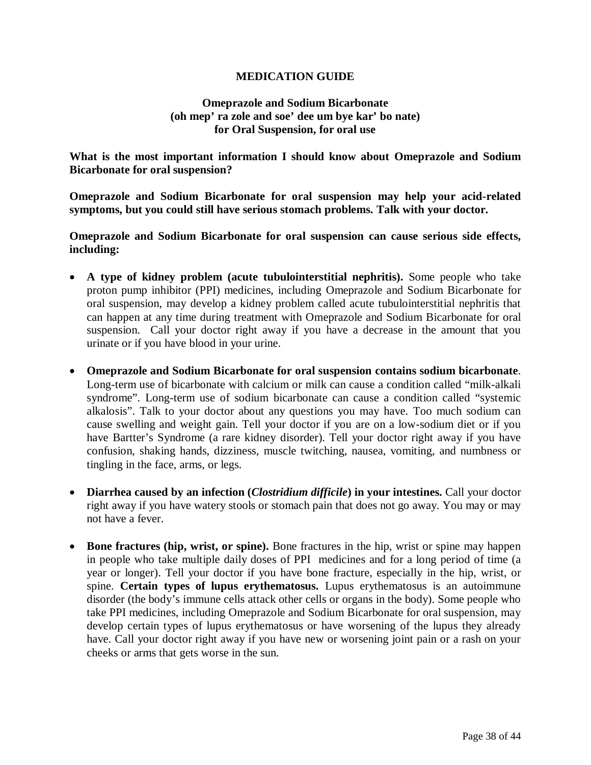#### **MEDICATION GUIDE**

### **Omeprazole and Sodium Bicarbonate (oh mep' ra zole and soe' dee um bye kar' bo nate) for Oral Suspension, for oral use**

<span id="page-37-0"></span>**What is the most important information I should know about Omeprazole and Sodium Bicarbonate for oral suspension?** 

**Omeprazole and Sodium Bicarbonate for oral suspension may help your acid-related symptoms, but you could still have serious stomach problems. Talk with your doctor.**

**Omeprazole and Sodium Bicarbonate for oral suspension can cause serious side effects, including:** 

- **A type of kidney problem (acute tubulointerstitial nephritis).** Some people who take proton pump inhibitor (PPI) medicines, including Omeprazole and Sodium Bicarbonate for oral suspension, may develop a kidney problem called acute tubulointerstitial nephritis that can happen at any time during treatment with Omeprazole and Sodium Bicarbonate for oral suspension. Call your doctor right away if you have a decrease in the amount that you urinate or if you have blood in your urine.
- **Omeprazole and Sodium Bicarbonate for oral suspension contains sodium bicarbonate**. Long-term use of bicarbonate with calcium or milk can cause a condition called "milk-alkali syndrome". Long-term use of sodium bicarbonate can cause a condition called "systemic alkalosis". Talk to your doctor about any questions you may have. Too much sodium can cause swelling and weight gain. Tell your doctor if you are on a low-sodium diet or if you have Bartter's Syndrome (a rare kidney disorder). Tell your doctor right away if you have confusion, shaking hands, dizziness, muscle twitching, nausea, vomiting, and numbness or tingling in the face, arms, or legs.
- **Diarrhea caused by an infection (***Clostridium difficile***) in your intestines.** Call your doctor right away if you have watery stools or stomach pain that does not go away. You may or may not have a fever.
- **Bone fractures (hip, wrist, or spine).** Bone fractures in the hip, wrist or spine may happen in people who take multiple daily doses of PPI medicines and for a long period of time (a year or longer). Tell your doctor if you have bone fracture, especially in the hip, wrist, or spine. **Certain types of lupus erythematosus.** Lupus erythematosus is an autoimmune disorder (the body's immune cells attack other cells or organs in the body). Some people who take PPI medicines, including Omeprazole and Sodium Bicarbonate for oral suspension, may develop certain types of lupus erythematosus or have worsening of the lupus they already have. Call your doctor right away if you have new or worsening joint pain or a rash on your cheeks or arms that gets worse in the sun.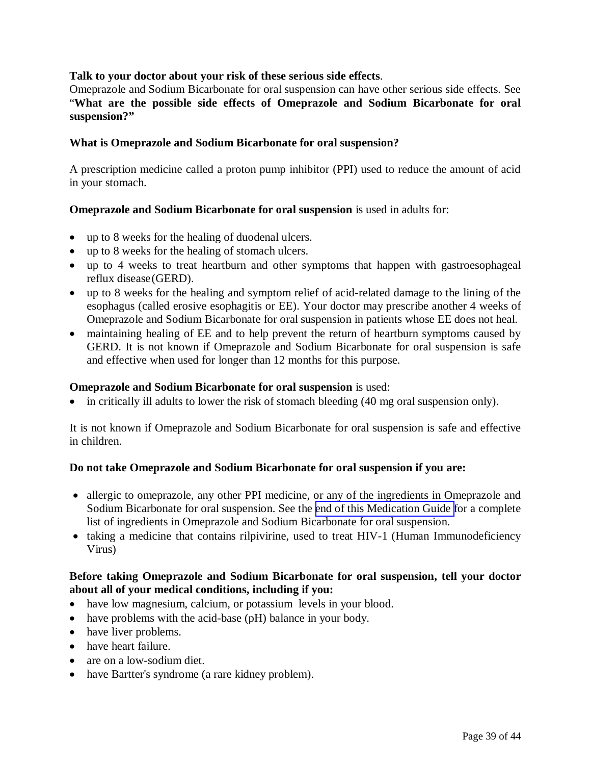## **Talk to your doctor about your risk of these serious side effects**.

Omeprazole and Sodium Bicarbonate for oral suspension can have other serious side effects. See "**What are the possible side effects of Omeprazole and Sodium Bicarbonate for oral suspension?"** 

#### **What is Omeprazole and Sodium Bicarbonate for oral suspension?**

A prescription medicine called a proton pump inhibitor (PPI) used to reduce the amount of acid in your stomach.

## **Omeprazole and Sodium Bicarbonate for oral suspension** is used in adults for:

- up to 8 weeks for the healing of duodenal ulcers.
- up to 8 weeks for the healing of stomach ulcers.
- up to 4 weeks to treat heartburn and other symptoms that happen with gastroesophageal reflux disease (GERD).
- up to 8 weeks for the healing and symptom relief of acid-related damage to the lining of the esophagus (called erosive esophagitis or EE). Your doctor may prescribe another 4 weeks of Omeprazole and Sodium Bicarbonate for oral suspension in patients whose EE does not heal.
- maintaining healing of EE and to help prevent the return of heartburn symptoms caused by GERD. It is not known if Omeprazole and Sodium Bicarbonate for oral suspension is safe and effective when used for longer than 12 months for this purpose.

#### **Omeprazole and Sodium Bicarbonate for oral suspension** is used:

in critically ill adults to lower the risk of stomach bleeding (40 mg oral suspension only).

It is not known if Omeprazole and Sodium Bicarbonate for oral suspension is safe and effective in children.

#### **Do not take Omeprazole and Sodium Bicarbonate for oral suspension if you are:**

- allergic to omeprazole, any other PPI medicine, or any of the ingredients in Omeprazole and Sodium Bicarbonate for oral suspension. See the [end of this Medication Guide f](#page-37-0)or a complete list of ingredients in Omeprazole and Sodium Bicarbonate for oral suspension.
- taking a medicine that contains rilpivirine, used to treat HIV-1 (Human Immunodeficiency Virus)

## **Before taking Omeprazole and Sodium Bicarbonate for oral suspension, tell your doctor about all of your medical conditions, including if you:**

- have low magnesium, calcium, or potassium levels in your blood.
- have problems with the acid-base (pH) balance in your body.
- have liver problems.
- have heart failure.
- are on a low-sodium diet.
- have Bartter's syndrome (a rare kidney problem).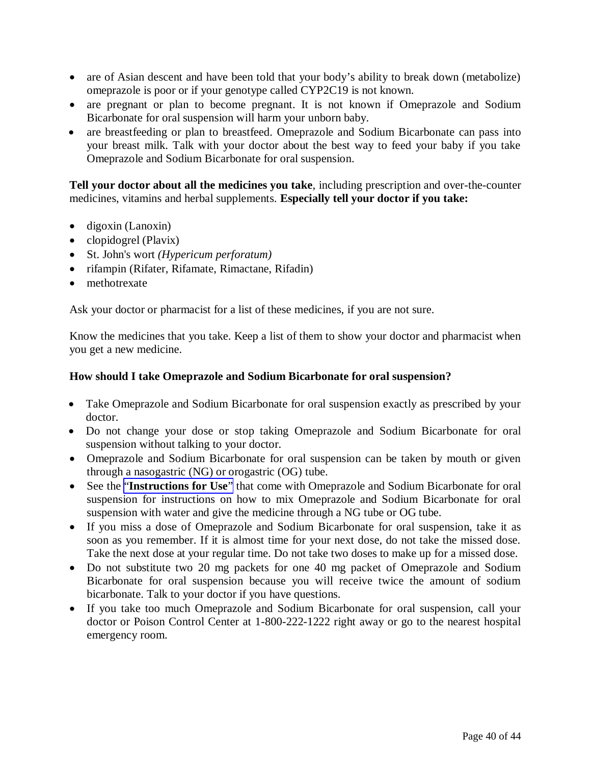- are of Asian descent and have been told that your body's ability to break down (metabolize) omeprazole is poor or if your genotype called CYP2C19 is not known.
- are pregnant or plan to become pregnant. It is not known if Omeprazole and Sodium Bicarbonate for oral suspension will harm your unborn baby.
- are breastfeeding or plan to breastfeed. Omeprazole and Sodium Bicarbonate can pass into your breast milk. Talk with your doctor about the best way to feed your baby if you take Omeprazole and Sodium Bicarbonate for oral suspension.

**Tell your doctor about all the medicines you take**, including prescription and over-the-counter medicines, vitamins and herbal supplements. **Especially tell your doctor if you take:** 

- $\bullet$  digoxin (Lanoxin)
- $\bullet$  clopidogrel (Plavix)
- St. John's wort *(Hypericum perforatum)*
- rifampin (Rifater, Rifamate, Rimactane, Rifadin)
- methotrexate

Ask your doctor or pharmacist for a list of these medicines, if you are not sure.

Know the medicines that you take. Keep a list of them to show your doctor and pharmacist when you get a new medicine.

#### **How should I take Omeprazole and Sodium Bicarbonate for oral suspension?**

- Take Omeprazole and Sodium Bicarbonate for oral suspension exactly as prescribed by your doctor.
- Do not change your dose or stop taking Omeprazole and Sodium Bicarbonate for oral suspension without talking to your doctor.
- Omeprazole and Sodium Bicarbonate for oral suspension can be taken by mouth or given through a nasogastric (NG) or orogastric (OG) tube.
- See the "**[Instructions for Use](#page-42-0)**" that come with Omeprazole and Sodium Bicarbonate for oral suspension for instructions on how to mix Omeprazole and Sodium Bicarbonate for oral suspension with water and give the medicine through a NG tube or OG tube.
- If you miss a dose of Omeprazole and Sodium Bicarbonate for oral suspension, take it as soon as you remember. If it is almost time for your next dose, do not take the missed dose. Take the next dose at your regular time. Do not take two doses to make up for a missed dose.
- Do not substitute two 20 mg packets for one 40 mg packet of Omeprazole and Sodium Bicarbonate for oral suspension because you will receive twice the amount of sodium bicarbonate. Talk to your doctor if you have questions.
- If you take too much Omeprazole and Sodium Bicarbonate for oral suspension, call your doctor or Poison Control Center at 1-800-222-1222 right away or go to the nearest hospital emergency room.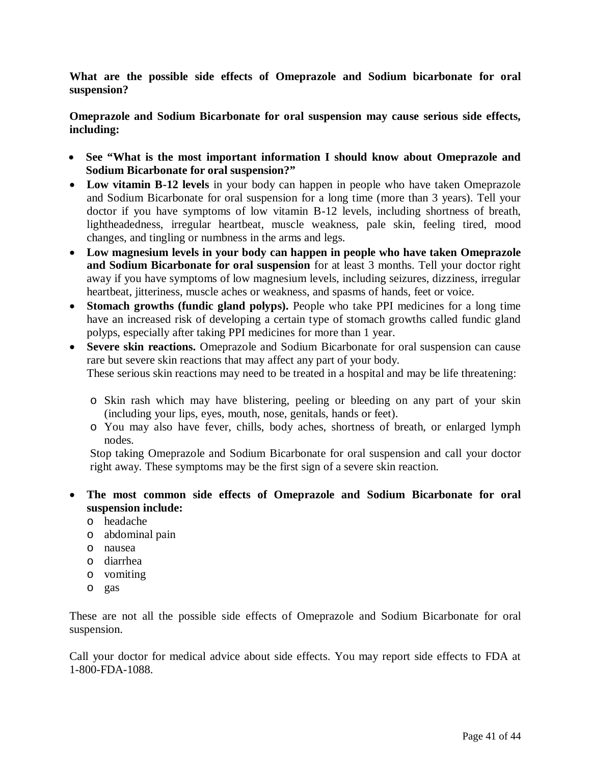**What are the possible side effects of Omeprazole and Sodium bicarbonate for oral suspension?** 

**Omeprazole and Sodium Bicarbonate for oral suspension may cause serious side effects, including:** 

- **See "What is the most important information I should know about Omeprazole and Sodium Bicarbonate for oral suspension?"**
- Low vitamin B-12 levels in your body can happen in people who have taken Omeprazole and Sodium Bicarbonate for oral suspension for a long time (more than 3 years). Tell your doctor if you have symptoms of low vitamin B-12 levels, including shortness of breath, lightheadedness, irregular heartbeat, muscle weakness, pale skin, feeling tired, mood changes, and tingling or numbness in the arms and legs.
- **Low magnesium levels in your body can happen in people who have taken Omeprazole and Sodium Bicarbonate for oral suspension** for at least 3 months. Tell your doctor right away if you have symptoms of low magnesium levels, including seizures, dizziness, irregular heartbeat, jitteriness, muscle aches or weakness, and spasms of hands, feet or voice.
- **Stomach growths (fundic gland polyps).** People who take PPI medicines for a long time have an increased risk of developing a certain type of stomach growths called fundic gland polyps, especially after taking PPI medicines for more than 1 year.
- **Severe skin reactions.** Omeprazole and Sodium Bicarbonate for oral suspension can cause rare but severe skin reactions that may affect any part of your body.

These serious skin reactions may need to be treated in a hospital and may be life threatening:

- o Skin rash which may have blistering, peeling or bleeding on any part of your skin (including your lips, eyes, mouth, nose, genitals, hands or feet).
- o You may also have fever, chills, body aches, shortness of breath, or enlarged lymph nodes.

Stop taking Omeprazole and Sodium Bicarbonate for oral suspension and call your doctor right away. These symptoms may be the first sign of a severe skin reaction.

- **The most common side effects of Omeprazole and Sodium Bicarbonate for oral suspension include:** 
	- o headache
	- o abdominal pain
	- o nausea
	- o diarrhea
	- o vomiting
	- o gas

These are not all the possible side effects of Omeprazole and Sodium Bicarbonate for oral suspension.

Call your doctor for medical advice about side effects. You may report side effects to FDA at 1-800-FDA-1088.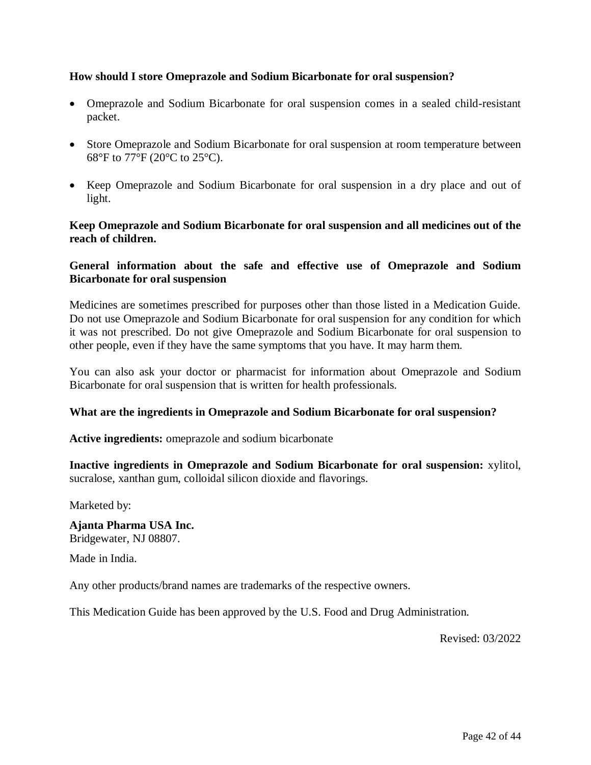# **How should I store Omeprazole and Sodium Bicarbonate for oral suspension?**

- Omeprazole and Sodium Bicarbonate for oral suspension comes in a sealed child-resistant packet.
- Store Omeprazole and Sodium Bicarbonate for oral suspension at room temperature between 68°F to 77°F (20°C to 25°C).
- Keep Omeprazole and Sodium Bicarbonate for oral suspension in a dry place and out of light.

# **Keep Omeprazole and Sodium Bicarbonate for oral suspension and all medicines out of the reach of children.**

# **General information about the safe and effective use of Omeprazole and Sodium Bicarbonate for oral suspension**

Medicines are sometimes prescribed for purposes other than those listed in a Medication Guide. Do not use Omeprazole and Sodium Bicarbonate for oral suspension for any condition for which it was not prescribed. Do not give Omeprazole and Sodium Bicarbonate for oral suspension to other people, even if they have the same symptoms that you have. It may harm them.

You can also ask your doctor or pharmacist for information about Omeprazole and Sodium Bicarbonate for oral suspension that is written for health professionals.

## **What are the ingredients in Omeprazole and Sodium Bicarbonate for oral suspension?**

**Active ingredients:** omeprazole and sodium bicarbonate

**Inactive ingredients in Omeprazole and Sodium Bicarbonate for oral suspension:** xylitol, sucralose, xanthan gum, colloidal silicon dioxide and flavorings.

Marketed by:

**Ajanta Pharma USA Inc.**  Bridgewater, NJ 08807.

Made in India.

Any other products/brand names are trademarks of the respective owners.

This Medication Guide has been approved by the U.S. Food and Drug Administration.

Revised: 03/2022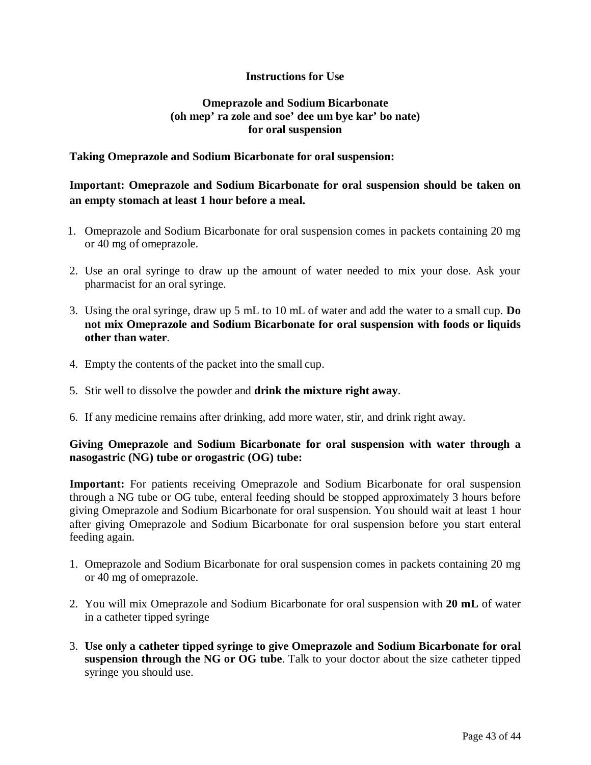# **Instructions for Use**

# **Omeprazole and Sodium Bicarbonate (oh mep' ra zole and soe' dee um bye kar' bo nate) for oral suspension**

# <span id="page-42-0"></span>**Taking Omeprazole and Sodium Bicarbonate for oral suspension:**

# **Important: Omeprazole and Sodium Bicarbonate for oral suspension should be taken on an empty stomach at least 1 hour before a meal.**

- 1. Omeprazole and Sodium Bicarbonate for oral suspension comes in packets containing 20 mg or 40 mg of omeprazole.
- 2. Use an oral syringe to draw up the amount of water needed to mix your dose. Ask your pharmacist for an oral syringe.
- 3. Using the oral syringe, draw up 5 mL to 10 mL of water and add the water to a small cup. **Do not mix Omeprazole and Sodium Bicarbonate for oral suspension with foods or liquids other than water**.
- 4. Empty the contents of the packet into the small cup.
- 5. Stir well to dissolve the powder and **drink the mixture right away**.
- 6. If any medicine remains after drinking, add more water, stir, and drink right away.

# **Giving Omeprazole and Sodium Bicarbonate for oral suspension with water through a nasogastric (NG) tube or orogastric (OG) tube:**

**Important:** For patients receiving Omeprazole and Sodium Bicarbonate for oral suspension through a NG tube or OG tube, enteral feeding should be stopped approximately 3 hours before giving Omeprazole and Sodium Bicarbonate for oral suspension. You should wait at least 1 hour after giving Omeprazole and Sodium Bicarbonate for oral suspension before you start enteral feeding again.

- 1. Omeprazole and Sodium Bicarbonate for oral suspension comes in packets containing 20 mg or 40 mg of omeprazole.
- 2. You will mix Omeprazole and Sodium Bicarbonate for oral suspension with **20 mL** of water in a catheter tipped syringe
- 3. **Use only a catheter tipped syringe to give Omeprazole and Sodium Bicarbonate for oral suspension through the NG or OG tube**. Talk to your doctor about the size catheter tipped syringe you should use.